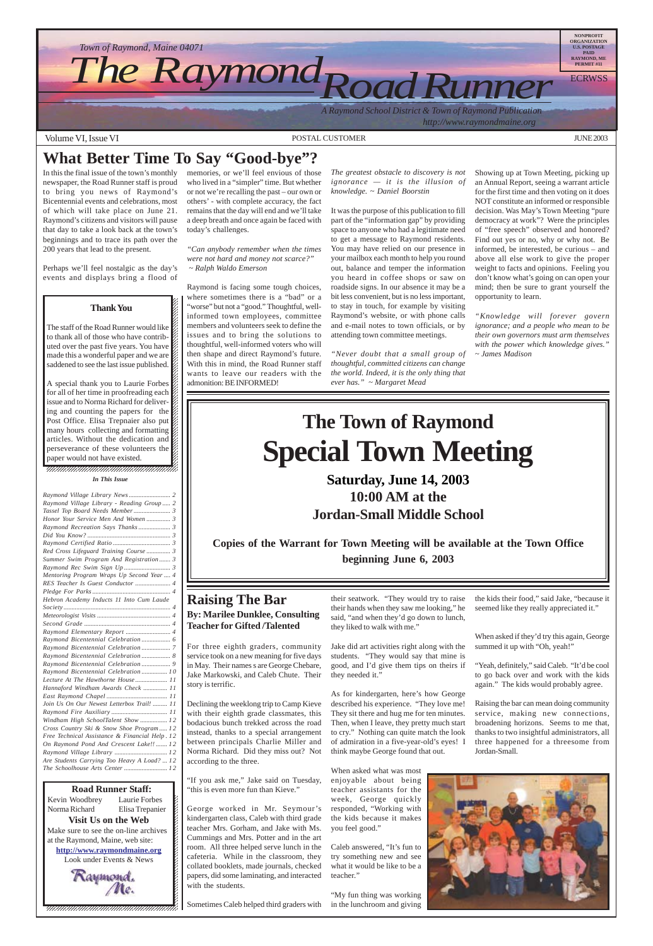*A Raymond School District & Town of Raymond Publication http://www.raymondmaine.org*

Volume VI, Issue VI DISTRIAN CUSTOMER AND POSTAL CUSTOMER THE SERVICE OF THE SERVICE OF THE SERVICE OF THE SERVICE OF THE SERVICE OF THE SERVICE OF THE SERVICE OF THE SERVICE OF THE SERVICE OF THE SERVICE OF THE SERVICE OF



12345678901234567890123456789012345678901234567890123456789012345678901234567890123456789012345678901234567890 12345678901234567890123456789012123456789012345678 Kevin Woodbrey Laurie Forbes  $\boldsymbol{\xi}$ Norma Richard Elisa Trepanier  $\blacksquare$ **Visit Us on the Web** Make sure to see the on-line archives  $\mathcal{L}$ 12345678901234567890123456789012123456789012345678 at the Raymond, Maine, web site:  $\mathcal{L}$ **http://www.raymondmaine.org** 12345678901234567890123456789012123456789012345678 Look under Events & News  $\mathcal{L}$  $123$  $18.8$  8  $18.8$  8  $18.8$  8  $18.8$  8  $18.8$  8  $18.8$  8  $18.8$  8  $18.8$  8  $18.8$  8  $18.8$  8  $18.8$  8  $18.8$  8  $18.8$  8  $18.8$  8  $18.8$  8  $18.8$  8  $18.8$  8  $18.8$  8  $18.8$  8  $18.8$  8  $18.8$  8  $18.8$  8  $18.8$  8  $18.8$  8  $18.8$ **Road Runner Staff:**



12345678901234567890123456789012123456789012345678 12345678901234567890123456789012123456789012345678  $18.8$  8  $18.8$  8  $18.8$  8  $18.8$  8  $18.8$  8  $18.8$  8  $18.8$  8  $18.8$  8  $18.8$  8  $18.8$  8  $18.8$  8  $18.8$  8  $18.8$  8  $18.8$  8  $18.8$  8  $18.8$  8  $18.8$  8  $18.8$  8  $18.8$  8  $18.8$  8  $18.8$  8  $18.8$  8  $18.8$  8  $18.8$  8  $18.8$  $1235678901234567890123456789012345678901234567890123456789012345678901234567890123456789012345678901234567890123456789012345678901234567890123456789012345678901234567890123456789012345678901234567890123456789012345678901$ 

A special thank you to Laurie Forbes  $\mathcal{Z}$ for all of her time in proofreading each  $\mathscr{G}$ 1 8 issue and to Norma Richard for deliver- $\mathcal{Z}$ ing and counting the papers for the  $\mathscr{C}$ Post Office. Elisa Trepnaier also put  $\mathscr{C}$ many hours collecting and formatting  $\mathcal{Z}$ 12345678901234567890123456789012123456789012345678 articles. Without the dedication and  $\hat{\mathscr{G}}$ perseverance of these volunteers the  $\mathbb Z$  $\overline{\phantom{a}}$  . The set of the set of the set of the set of the set of the set of the set of the set of the set of the set of the set of the set of the set of the set of the set of the set of the set of the set of the set o paper would not have existed.  $\mathscr{L}$  $\blacksquare$ 

> "If you ask me," Jake said on Tuesday, "this is even more fun than Kieve."

> > "My fun thing was working in the lunchroom and giving

When asked if they'd try this again, George summed it up with "Oh, yeah!"

### **Raising The Bar By: Marilee Dunklee, Consulting Teacher for Gifted /Talented**

For three eighth graders, community service took on a new meaning for five days in May. Their names s are George Chebare, Jake Markowski, and Caleb Chute. Their story is terrific.

Declining the weeklong trip to Camp Kieve with their eighth grade classmates, this

bodacious bunch trekked across the road instead, thanks to a special arrangement between principals Charlie Miller and Norma Richard. Did they miss out? Not according to the three.

George worked in Mr. Seymour's kindergarten class, Caleb with third grade teacher Mrs. Gorham, and Jake with Ms. Cummings and Mrs. Potter and in the art room. All three helped serve lunch in the cafeteria. While in the classroom, they collated booklets, made journals, checked papers, did some laminating, and interacted with the students.

Sometimes Caleb helped third graders with

their seatwork. "They would try to raise their hands when they saw me looking," he said, "and when they'd go down to lunch, they liked to walk with me."

Jake did art activities right along with the students. "They would say that mine is good, and I'd give them tips on theirs if they needed it."

As for kindergarten, here's how George described his experience. "They love me! They sit there and hug me for ten minutes.

Then, when I leave, they pretty much start to cry." Nothing can quite match the look of admiration in a five-year-old's eyes! I think maybe George found that out.

When asked what was most enjoyable about being teacher assistants for the week, George quickly responded, "Working with the kids because it makes

you feel good."

Caleb answered, "It's fun to try something new and see what it would be like to be a teacher."

the kids their food," said Jake, "because it seemed like they really appreciated it."

"Yeah, definitely," said Caleb. "It'd be cool to go back over and work with the kids again." The kids would probably agree.

Raising the bar can mean doing community service, making new connections, broadening horizons. Seems to me that, thanks to two insightful administrators, all three happened for a threesome from Jordan-Small.



#### 12345678901234567890123456789012123456789012345678 12345678901234567890123456789012123456789012345678 *In This Issue*

# **What Better Time To Say "Good-bye"?**

In this the final issue of the town's monthly newspaper, the Road Runner staff is proud to bring you news of Raymond's Bicentennial events and celebrations, most of which will take place on June 21. Raymond's citizens and visitors will pause that day to take a look back at the town's beginnings and to trace its path over the 200 years that lead to the present.

Perhaps we'll feel nostalgic as the day's events and displays bring a flood of

#### 12345678901234567890123456789012345678901234567890123456789012345678901234567890123456789012345678901234567890 12345678901234567890123456789012345678901234567890123456789012345678901234567890123456789012345678901234567890 12345678901234567890123456789012123456789012345678 12345678901234567890123456789012123456789012345678 1 8 12345678901234567890123456789012123456789012345678 12345678901234567890123456789012123456789012345678 **Thank You**  $1235678901234567890123456789012345678901234567890123456789012345678901234567890123456789012345678901234567890123456789012345678901234567890123456789012345678901234567890123456789012345678901234567890123456789012345678901$  $1235678901234567890123456789012345678901234567890123456789012345678901234567890123456789012345678901234567890123456789012345678901234567890123456789012345678901234567890123456789012345678901234567890123456789012345678901$  $\blacksquare$  $1235678901234567890123456789012345678901234567890123456789012345678901234567890123456789012345678901234567890123456789012345678901234567890123456789012345678901234567890123456789012345678901234567890123456789012345678901$

The staff of the Road Runner would like  $\mathscr{L}$ to thank all of those who have contrib- $\mathscr{L}$  $1235678901234587890123456789012345678901234567890123456789012345678901234567890123456789012345678901234567890123456789012345678901234567890123456789012345678901234567890123456789012345678901234567890123456789012345678901$ uted over the past five years. You have  $\mathscr{L}$ made this a wonderful paper and we are  $\mathscr{C}$ saddened to see the last issue published.  $\%$  memories, or we'll feel envious of those who lived in a "simpler" time. But whether or not we're recalling the past – our own or others' - with complete accuracy, the fact remains that the day will end and we'll take a deep breath and once again be faced with today's challenges.

*"Can anybody remember when the times were not hard and money not scarce?" ~ Ralph Waldo Emerson*

Raymond is facing some tough choices, where sometimes there is a "bad" or a "worse" but not a "good." Thoughtful, wellinformed town employees, committee members and volunteers seek to define the issues and to bring the solutions to thoughtful, well-informed voters who will then shape and direct Raymond's future. With this in mind, the Road Runner staff wants to leave our readers with the admonition: BE INFORMED!

*The greatest obstacle to discovery is not ignorance — it is the illusion of knowledge. ~ Daniel Boorstin*

It was the purpose of this publication to fill part of the "information gap" by providing space to anyone who had a legitimate need to get a message to Raymond residents. You may have relied on our presence in your mailbox each month to help you round out, balance and temper the information you heard in coffee shops or saw on roadside signs. In our absence it may be a bit less convenient, but is no less important, to stay in touch, for example by visiting Raymond's website, or with phone calls and e-mail notes to town officials, or by attending town committee meetings.

*"Never doubt that a small group of thoughtful, committed citizens can change the world. Indeed, it is the only thing that ever has." ~ Margaret Mead*

Showing up at Town Meeting, picking up an Annual Report, seeing a warrant article for the first time and then voting on it does NOT constitute an informed or responsible decision. Was May's Town Meeting "pure democracy at work"? Were the principles of "free speech" observed and honored? Find out yes or no, why or why not. Be informed, be interested, be curious – and above all else work to give the proper weight to facts and opinions. Feeling you don't know what's going on can open your mind; then be sure to grant yourself the opportunity to learn.

*"Knowledge will forever govern ignorance; and a people who mean to be their own governors must arm themselves with the power which knowledge gives." ~ James Madison*

# **The Town of Raymond Special Town Meeting**

**Saturday, June 14, 2003 10:00 AM at the Jordan-Small Middle School**

**Copies of the Warrant for Town Meeting will be available at the Town Office beginning June 6, 2003**

| Raymond Village Library - Reading Group 2           |
|-----------------------------------------------------|
|                                                     |
| Honor Your Service Men And Women 3                  |
|                                                     |
|                                                     |
|                                                     |
| Red Cross Lifeguard Training Course  3              |
| Summer Swim Program And Registration 3              |
|                                                     |
| Mentoring Program Wraps Up Second Year  4           |
| RES Teacher Is Guest Conductor  4                   |
|                                                     |
| Hebron Academy Inducts 11 Into Cum Laude            |
|                                                     |
|                                                     |
|                                                     |
|                                                     |
| Raymond Elementary Report  4                        |
|                                                     |
|                                                     |
| Raymond Bicentennial Celebration  8                 |
|                                                     |
| Raymond Bicentennial Celebration 10                 |
| Lecture At The Hawthorne House 11                   |
| Hannaford Windham Awards Check  11                  |
|                                                     |
| Join Us On Our Newest Letterbox Trail!  11          |
| فاقت المتحدث المنافسة المستنبذة والمستنبذة والمتحدث |

*Windham High SchoolTalent Show ................. 1 2 Cross Country Ski & Snow Shoe Program ..... 1 2 Free Technical Assistance & Financial Help . 1 2 On Raymond Pond And Crescent Lake!! ....... 12 Raymond Village Library ................................. 1 2 Are Students Carrying Too Heavy A Load? ... 12 The Schoolhouse Arts Center ........................... 1 2*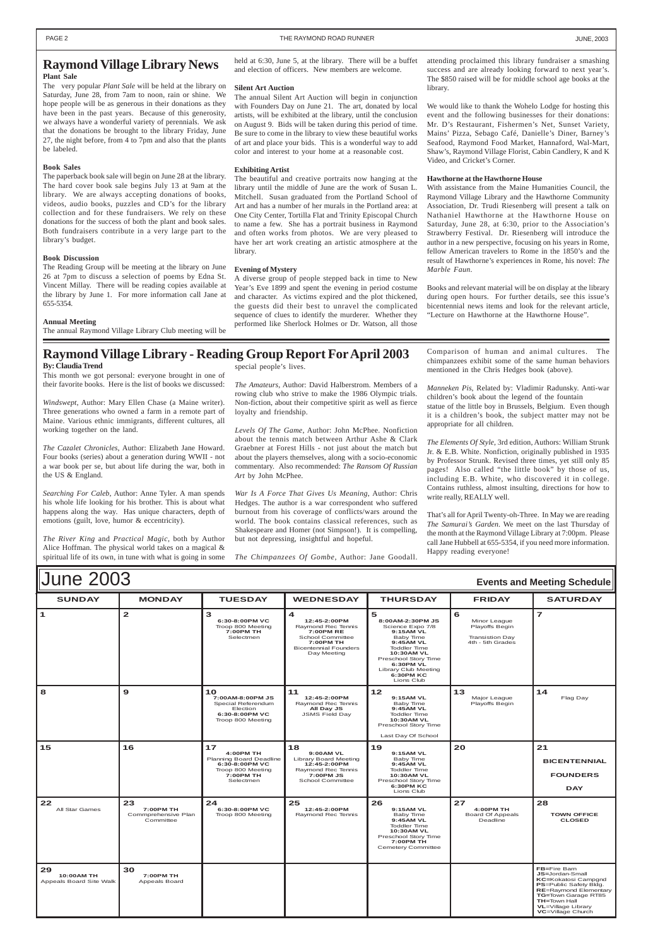| <b>June 2003</b><br><b>Events and Meeting Schedule</b> |               |                                                                            |                                                                                                                                             |                                                                                                                                                                                                                      |                                                                                   |                 |
|--------------------------------------------------------|---------------|----------------------------------------------------------------------------|---------------------------------------------------------------------------------------------------------------------------------------------|----------------------------------------------------------------------------------------------------------------------------------------------------------------------------------------------------------------------|-----------------------------------------------------------------------------------|-----------------|
| <b>SUNDAY</b>                                          | <b>MONDAY</b> | <b>TUESDAY</b>                                                             | <b>WEDNESDAY</b>                                                                                                                            | <b>THURSDAY</b>                                                                                                                                                                                                      | <b>FRIDAY</b>                                                                     | <b>SATURDAY</b> |
| 1                                                      | $\mathbf{2}$  | 6:30-8:00PM VC<br>Troop 800 Meeting<br><b>7:00PM TH</b><br>Selectmen       | 4<br>12:45-2:00PM<br>Raymond Rec Tennis<br><b>7:00PM RE</b><br>School Committee<br>7:00PM TH<br><b>Bicentennial Founders</b><br>Day Meeting | 5<br>8:00AM-2:30PM JS<br>Science Expo 7/8<br>9:15AM VL<br>Baby Time<br>9:45AM VL<br><b>Toddler Time</b><br><b>10:30AM VL</b><br>Preschool Story Time<br>6:30PM VL<br>Library Club Meeting<br>6:30PM KC<br>Lions Club | 6<br>Minor League<br>Playoffs Begin<br><b>Transistion Day</b><br>4th - 5th Grades | 7               |
| 8                                                      | 9             | 10<br>7:00AM-8:00PM JS<br>Special Referendum<br>Election<br>6:30-8:00PM VC | 11<br>12:45-2:00PM<br>Raymond Rec Tennis<br>All Day JS<br><b>JSMS Field Day</b>                                                             | $12$<br>9:15AM VL<br>Baby Time<br>9:45AM VL<br><b>Toddler Time</b>                                                                                                                                                   | 13<br>Major League<br>Playoffs Begin                                              | 14<br>Flag Day  |

|                                                    |                                                     | Troop 800 Meeting                                                                                                  |                                                                                                                         | <b>10:30AM VL</b><br>Preschool Story Time<br>Last Day Of School                                                                                  |                                                        |                                                                                                                                                                                                           |
|----------------------------------------------------|-----------------------------------------------------|--------------------------------------------------------------------------------------------------------------------|-------------------------------------------------------------------------------------------------------------------------|--------------------------------------------------------------------------------------------------------------------------------------------------|--------------------------------------------------------|-----------------------------------------------------------------------------------------------------------------------------------------------------------------------------------------------------------|
| 15                                                 | 16                                                  | 17<br><b>4:00PM TH</b><br>Planning Board Deadline<br>6:30-8:00PM VC<br>Troop 800 Meeting<br>7:00PM TH<br>Selectmen | 18<br>9:00AM VL<br><b>Library Board Meeting</b><br>12:45-2:00PM<br>Raymond Rec Tennis<br>7:00 PM JS<br>School Committee | 19<br>9:15AM VL<br>Baby Time<br>9:45AM VL<br><b>Toddler Time</b><br>10:30AM VL<br>Preschool Story Time<br><b>6:30PM KC</b><br>Lions Club         | 20                                                     | 21<br><b>BICENTENNIAL</b><br><b>FOUNDERS</b><br><b>DAY</b>                                                                                                                                                |
| 22<br>All Star Games                               | 23<br>7:00PM TH<br>Commprehensive Plan<br>Committee | 24<br>6:30-8:00PM VC<br>Troop 800 Meeting                                                                          | 25<br>12:45-2:00PM<br>Raymond Rec Tennis                                                                                | 26<br>9:15AM VL<br>Baby Time<br>9:45AM VL<br><b>Toddler Time</b><br>10:30AM VL<br>Preschool Story Time<br>7:00PM TH<br><b>Cemetery Committee</b> | 27<br>4:00PM TH<br><b>Board Of Appeals</b><br>Deadline | 28<br><b>TOWN OFFICE</b><br><b>CLOSED</b>                                                                                                                                                                 |
| 29<br><b>10:00AM TH</b><br>Appeals Board Site Walk | 30<br>7:00PM TH<br>Appeals Board                    |                                                                                                                    |                                                                                                                         |                                                                                                                                                  |                                                        | FB=Fire Barn<br>JS=Jordan-Small<br><b>KC=Kokatosi Campgnd</b><br>PS=Public Safety Bldg.<br><b>RE=Raymond Elementary</b><br>TG=Town Garage RT85<br>TH=Town Hall<br>VL=Village Library<br>VC=Village Church |

### **Raymond Village Library News**

#### **Plant Sale**

The very popular *Plant Sale* will be held at the library on Saturday, June 28, from 7am to noon, rain or shine. We hope people will be as generous in their donations as they have been in the past years. Because of this generosity, we always have a wonderful variety of perennials. We ask that the donations be brought to the library Friday, June 27, the night before, from 4 to 7pm and also that the plants be labeled.

#### **Book Sales**

The paperback book sale will begin on June 28 at the library. The hard cover book sale begins July 13 at 9am at the library. We are always accepting donations of books, videos, audio books, puzzles and CD's for the library collection and for these fundraisers. We rely on these donations for the success of both the plant and book sales. Both fundraisers contribute in a very large part to the library's budget.

#### **Book Discussion**

The Reading Group will be meeting at the library on June 26 at 7pm to discuss a selection of poems by Edna St. Vincent Millay. There will be reading copies available at the library by June 1. For more information call Jane at 655-5354.

#### **Annual Meeting**

The annual Raymond Village Library Club meeting will be

held at 6:30, June 5, at the library. There will be a buffet and election of officers. New members are welcome.

#### **Silent Art Auction**

The annual Silent Art Auction will begin in conjunction with Founders Day on June 21. The art, donated by local artists, will be exhibited at the library, until the conclusion on August 9. Bids will be taken during this period of time. Be sure to come in the library to view these beautiful works of art and place your bids. This is a wonderful way to add color and interest to your home at a reasonable cost.

#### **Exhibiting Artist**

The beautiful and creative portraits now hanging at the library until the middle of June are the work of Susan L. Mitchell. Susan graduated from the Portland School of Art and has a number of her murals in the Portland area: at One City Center, Tortilla Flat and Trinity Episcopal Church to name a few. She has a portrait business in Raymond and often works from photos. We are very pleased to have her art work creating an artistic atmosphere at the library.

#### **Evening of Mystery**

A diverse group of people stepped back in time to New Year's Eve 1899 and spent the evening in period costume and character. As victims expired and the plot thickened, the guests did their best to unravel the complicated sequence of clues to identify the murderer. Whether they performed like Sherlock Holmes or Dr. Watson, all those

attending proclaimed this library fundraiser a smashing success and are already looking forward to next year's. The \$850 raised will be for middle school age books at the library.

We would like to thank the Wohelo Lodge for hosting this event and the following businesses for their donations: Mr. D's Restaurant, Fishermen's Net, Sunset Variety, Mains' Pizza, Sebago Café, Danielle's Diner, Barney's Seafood, Raymond Food Market, Hannaford, Wal-Mart, Shaw's, Raymond Village Florist, Cabin Candlery, K and K Video, and Cricket's Corner.

#### **Hawthorne at the Hawthorne House**

With assistance from the Maine Humanities Council, the Raymond Village Library and the Hawthorne Community Association, Dr. Trudi Riesenberg will present a talk on Nathaniel Hawthorne at the Hawthorne House on Saturday, June 28, at 6:30, prior to the Association's Strawberry Festival. Dr. Riesenberg will introduce the author in a new perspective, focusing on his years in Rome, fellow American travelers to Rome in the 1850's and the result of Hawthorne's experiences in Rome, his novel: *The Marble Faun.*

Books and relevant material will be on display at the library during open hours. For further details, see this issue's bicentennial news items and look for the relevant article, "Lecture on Hawthorne at the Hawthorne House".

### **Raymond Village Library - Reading Group Report For April 2003**

#### **By: Claudia Trend**

This month we got personal: everyone brought in one of their favorite books. Here is the list of books we discussed:

*Windswept*, Author: Mary Ellen Chase (a Maine writer). Three generations who owned a farm in a remote part of Maine. Various ethnic immigrants, different cultures, all working together on the land.

*The Cazalet Chronicles*, Author: Elizabeth Jane Howard. Four books (series) about a generation during WWII - not a war book per se, but about life during the war, both in the US & England.

*Searching For Caleb*, Author: Anne Tyler. A man spends his whole life looking for his brother. This is about what happens along the way. Has unique characters, depth of emotions (guilt, love, humor & eccentricity).

*The River King* and *Practical Magic*, both by Author Alice Hoffman. The physical world takes on a magical & spiritual life of its own, in tune with what is going in some special people's lives.

*The Amateurs*, Author: David Halberstrom. Members of a rowing club who strive to make the 1986 Olympic trials. Non-fiction, about their competitive spirit as well as fierce loyalty and friendship.

*Levels Of The Game*, Author: John McPhee. Nonfiction about the tennis match between Arthur Ashe & Clark Graebner at Forest Hills - not just about the match but about the players themselves, along with a socio-economic commentary. Also recommended: *The Ransom Of Russian Art* by John McPhee.

*War Is A Force That Gives Us Meaning*, Author: Chris Hedges. The author is a war correspondent who suffered burnout from his coverage of conflicts/wars around the world. The book contains classical references, such as Shakespeare and Homer (not Simpson!). It is compelling, but not depressing, insightful and hopeful.

*The Chimpanzees Of Gombe*, Author: Jane Goodall.

Comparison of human and animal cultures. The chimpanzees exhibit some of the same human behaviors mentioned in the Chris Hedges book (above).

*Manneken Pis*, Related by: Vladimir Radunsky. Anti-war children's book about the legend of the fountain statue of the little boy in Brussels, Belgium. Even though it is a children's book, the subject matter may not be appropriate for all children.

*The Elements Of Style*, 3rd edition, Authors: William Strunk Jr. & E.B. White. Nonfiction, originally published in 1935 by Professor Strunk. Revised three times, yet still only 85 pages! Also called "the little book" by those of us, including E.B. White, who discovered it in college. Contains ruthless, almost insulting, directions for how to write really, REALLY well.

That's all for April Twenty-oh-Three. In May we are reading *The Samurai's Garden*. We meet on the last Thursday of the month at the Raymond Village Library at 7:00pm. Please call Jane Hubbell at 655-5354, if you need more information. Happy reading everyone!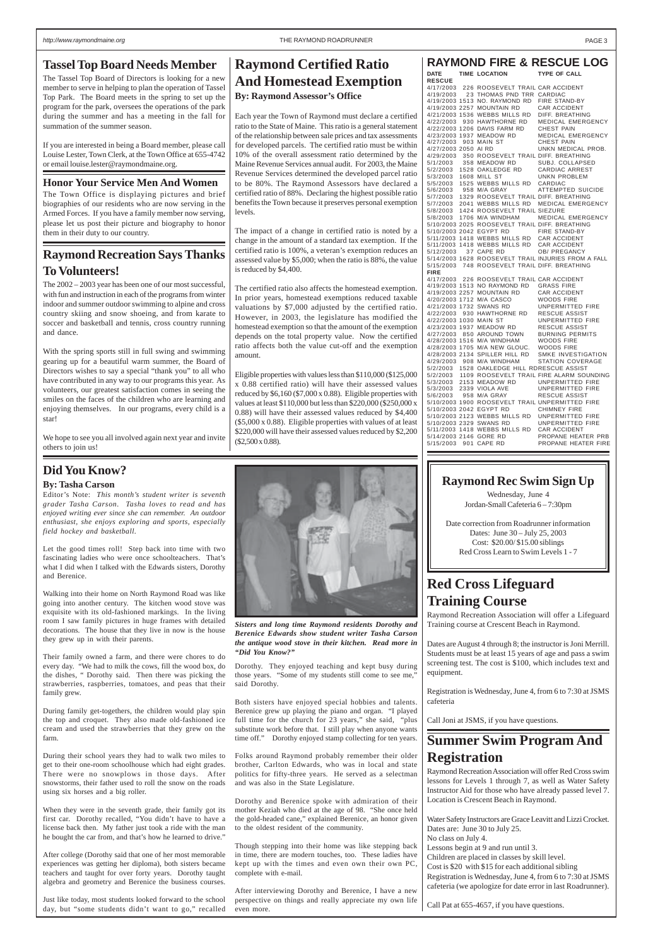## **Raymond Certified Ratio And Homestead Exemption By: Raymond Assessor's Office**

Each year the Town of Raymond must declare a certified ratio to the State of Maine. This ratio is a general statement of the relationship between sale prices and tax assessments for developed parcels. The certified ratio must be within 10% of the overall assessment ratio determined by the Maine Revenue Services annual audit. For 2003, the Maine Revenue Services determined the developed parcel ratio to be 80%. The Raymond Assessors have declared a certified ratio of 88%. Declaring the highest possible ratio benefits the Town because it preserves personal exemption levels.

The impact of a change in certified ratio is noted by a change in the amount of a standard tax exemption. If the certified ratio is 100%, a veteran's exemption reduces an assessed value by \$5,000; when the ratio is 88%, the value is reduced by \$4,400.

The certified ratio also affects the homestead exemption. In prior years, homestead exemptions reduced taxable valuations by \$7,000 adjusted by the certified ratio. However, in 2003, the legislature has modified the homestead exemption so that the amount of the exemption depends on the total property value. Now the certified ratio affects both the value cut-off and the exemption amount.

Eligible properties with values less than \$110,000 (\$125,000 x 0.88 certified ratio) will have their assessed values reduced by \$6,160 (\$7,000 x 0.88). Eligible properties with values at least \$110,000 but less than \$220,000 (\$250,000 x 0.88) will have their assessed values reduced by \$4,400 (\$5,000 x 0.88). Eligible properties with values of at least \$220,000 will have their assessed values reduced by \$2,200 (\$2,500 x 0.88).



| DATE                   | <b>TIME LOCATION</b>                           | TYPE OF CALL                                        |
|------------------------|------------------------------------------------|-----------------------------------------------------|
| <b>RESCUE</b>          |                                                |                                                     |
| 4/17/2003              | 226 ROOSEVELT TRAIL CAR ACCIDENT               |                                                     |
| 4/19/2003              | 23 THOMAS PND TRR CARDIAC                      |                                                     |
|                        | 4/19/2003 1513 NO. RAYMOND RD                  | <b>FIRE STAND-BY</b>                                |
|                        | 4/19/2003 2257 MOUNTAIN RD                     | <b>CAR ACCIDENT</b>                                 |
|                        | 4/21/2003 1536 WEBBS MILLS RD                  | DIFF. BREATHING                                     |
| 4/22/2003              | 930 HAWTHORNE RD                               | <b>MEDICAL EMERGENCY</b>                            |
|                        | 4/22/2003 1206 DAVIS FARM RD                   | <b>CHEST PAIN</b>                                   |
|                        | 4/23/2003 1937 MEADOW RD                       | <b>MEDICAL EMERGENCY</b>                            |
| 4/27/2003              | 903 MAIN ST                                    | <b>CHEST PAIN</b>                                   |
| 4/27/2003 2050 AI RD   |                                                | UNKN MEDICAL PROB.                                  |
| 4/29/2003              | 350 ROOSEVELT TRAIL DIFF. BREATHING            |                                                     |
| 5/1/2003               | 358 MEADOW RD                                  | SUBJ. COLLAPSED                                     |
| 5/2/2003               | 1528 OAKLEDGE RD                               | <b>CARDIAC ARREST</b>                               |
| 5/3/2003               | 1608 MILL ST                                   | <b>UNKN PROBLEM</b>                                 |
| 5/5/2003               | 1525 WEBBS MILLS RD                            | CARDIAC                                             |
| 5/6/2003               | 958 M/A GRAY                                   | <b>ATTEMPTED SUICIDE</b>                            |
| 5/7/2003               | 1329 ROOSEVELT TRAIL DIFF. BREATHING           |                                                     |
| 5/7/2003               | 2041 WEBBS MILLS RD                            | <b>MEDICAL EMERGENCY</b>                            |
| 5/8/2003               | 1424 ROOSEVELT TRAIL SIEZURE                   |                                                     |
| 5/8/2003               | 1706 M/A WINDHAM                               | MEDICAL EMERGENCY                                   |
|                        | 5/10/2003 2025 ROOSEVELT TRAIL DIFF. BREATHING |                                                     |
|                        | 5/10/2003 2042 EGYPT RD                        | FIRE STAND-BY                                       |
|                        | 5/11/2003 1418 WEBBS MILLS RD CAR ACCIDENT     |                                                     |
|                        | 5/11/2003 1418 WEBBS MILLS RD                  | <b>CAR ACCIDENT</b>                                 |
| 5/12/2003              | 37 CAPE RD                                     | <b>OB/ PREGANCY</b>                                 |
|                        |                                                | 5/14/2003 1628 ROOSEVELT TRAIL INJURIES FROM A FALL |
| 5/15/2003              | 748 ROOSEVELT TRAIL DIFF. BREATHING            |                                                     |
| <b>FIRE</b>            |                                                |                                                     |
| 4/17/2003              | 226 ROOSEVELT TRAIL CAR ACCIDENT               |                                                     |
|                        | 4/19/2003 1513 NO RAYMOND RD                   | <b>GRASS FIRE</b>                                   |
|                        | 4/19/2003 2257 MOUNTAIN RD                     | CAR ACCIDENT                                        |
|                        | 4/20/2003 1712 M/A CASCO                       | WOODS FIRE                                          |
|                        | 4/21/2003 1732 SWANS RD                        | <b>UNPERMITTED FIRE</b>                             |
| 4/22/2003              | 930 HAWTHORNE RD                               | <b>RESCUE ASSIST</b>                                |
| 4/22/2003 1030 MAIN ST |                                                | <b>UNPERMITTED FIRE</b>                             |
|                        | 4/23/2003 1937 MEADOW RD                       | <b>RESCUE ASSIST</b>                                |
| 4/27/2003              | 850 AROUND TOWN                                | <b>BURNING PERMITS</b>                              |
|                        | 4/28/2003 1516 M/A WINDHAM                     | <b>WOODS FIRE</b>                                   |
|                        | 4/28/2003 1705 M/A NEW GLOUC.                  | <b>WOODS FIRE</b>                                   |
|                        | 4/28/2003 2134 SPILLER HILL RD                 | <b>SMKE INVESTIGATION</b>                           |
|                        | 4/29/2003 908 M/A WINDHAM                      | <b>STATION COVERAGE</b>                             |
| 5/2/2003               | 1528 OAKLEDGE HILL RDRESCUE ASSIST             |                                                     |
| 5/2/2003               |                                                | 1109 ROOSEVELT TRAIL FIRE ALARM SOUNDING            |
| 5/3/2003               | 2153 MEADOW RD                                 | <b>UNPERMITTED FIRE</b>                             |
| 5/3/2003               | 2339 VIOLA AVE                                 | <b>UNPERMITTED FIRE</b>                             |
| 5/6/2003               | 958 M/A GRAY                                   | <b>RESCUE ASSIST</b>                                |
|                        |                                                | 5/10/2003 1900 ROOSEVELT TRAIL UNPERMITTED FIRE     |
|                        | 5/10/2003 2042 EGYPT RD                        | <b>CHIMNEY FIRE</b>                                 |
|                        | 5/10/2003 2123 WEBBS MILLS RD                  | <b>UNPERMITTED FIRE</b>                             |
|                        | 5/10/2003 2329 SWANS RD                        | <b>UNPERMITTED FIRE</b>                             |
|                        | 5/11/2003 1418 WEBBS MILLS RD                  | CAR ACCIDENT                                        |
| 5/14/2003 2146 GORE RD |                                                | PROPANE HEATER PRB                                  |
| 5/15/2003 901 CAPE RD  |                                                | PROPANE HEATER FIRE                                 |

#### **Honor Your Service Men And Women**

The Town Office is displaying pictures and brief biographies of our residents who are now serving in the Armed Forces. If you have a family member now serving, please let us post their picture and biography to honor them in their duty to our country.

## **Tassel Top Board Needs Member**

The Tassel Top Board of Directors is looking for a new member to serve in helping to plan the operation of Tassel Top Park. The Board meets in the spring to set up the program for the park, oversees the operations of the park during the summer and has a meeting in the fall for summation of the summer season.

If you are interested in being a Board member, please call Louise Lester, Town Clerk, at the Town Office at 655-4742 or email louise.lester@raymondmaine.org.

# **Red Cross Lifeguard Training Course**

Raymond Recreation Association will offer a Lifeguard Training course at Crescent Beach in Raymond.

Dates are August 4 through 8; the instructor is Joni Merrill. Students must be at least 15 years of age and pass a swim screening test. The cost is \$100, which includes text and equipment.

Registration is Wednesday, June 4, from 6 to 7:30 at JSMS cafeteria

Call Joni at JSMS, if you have questions.

# **Summer Swim Program And Registration**

Raymond Recreation Association will offer Red Cross swim lessons for Levels 1 through 7, as well as Water Safety Instructor Aid for those who have already passed level 7. Location is Crescent Beach in Raymond.

Water Safety Instructors are Grace Leavitt and Lizzi Crocket. Dates are: June 30 to July 25. No class on July 4. Lessons begin at 9 and run until 3. Children are placed in classes by skill level. Cost is \$20 with \$15 for each additional sibling Registration is Wednesday, June 4, from 6 to 7:30 at JSMS cafeteria (we apologize for date error in last Roadrunner).

Call Pat at 655-4657, if you have questions.

## **Raymond Recreation Says Thanks To Volunteers!**

The 2002 – 2003 year has been one of our most successful, with fun and instruction in each of the programs from winter indoor and summer outdoor swimming to alpine and cross country skiing and snow shoeing, and from karate to soccer and basketball and tennis, cross country running and dance.

With the spring sports still in full swing and swimming gearing up for a beautiful warm summer, the Board of Directors wishes to say a special "thank you" to all who have contributed in any way to our programs this year. As volunteers, our greatest satisfaction comes in seeing the smiles on the faces of the children who are learning and enjoying themselves. In our programs, every child is a star!

We hope to see you all involved again next year and invite others to join us!

## **Did You Know?**

#### **By: Tasha Carson**

Editor's Note: *This month's student writer is seventh grader Tasha Carson. Tasha loves to read and has enjoyed writing ever since she can remember. An outdoor enthusiast, she enjoys exploring and sports, especially field hockey and basketball*.

Let the good times roll! Step back into time with two fascinating ladies who were once schoolteachers. That's what I did when I talked with the Edwards sisters, Dorothy and Berenice.

Walking into their home on North Raymond Road was like going into another century. The kitchen wood stove was exquisite with its old-fashioned markings. In the living room I saw family pictures in huge frames with detailed decorations. The house that they live in now is the house they grew up in with their parents.

Their family owned a farm, and there were chores to do every day. "We had to milk the cows, fill the wood box, do the dishes, " Dorothy said. Then there was picking the strawberries, raspberries, tomatoes, and peas that their family grew.

During family get-togethers, the children would play spin

the top and croquet. They also made old-fashioned ice cream and used the strawberries that they grew on the farm.

During their school years they had to walk two miles to get to their one-room schoolhouse which had eight grades. There were no snowplows in those days. After snowstorms, their father used to roll the snow on the roads using six horses and a big roller.

When they were in the seventh grade, their family got its first car. Dorothy recalled, "You didn't have to have a license back then. My father just took a ride with the man he bought the car from, and that's how he learned to drive."

After college (Dorothy said that one of her most memorable experiences was getting her diploma), both sisters became teachers and taught for over forty years. Dorothy taught algebra and geometry and Berenice the business courses.

Just like today, most students looked forward to the school day, but "some students didn't want to go," recalled

Dorothy. They enjoyed teaching and kept busy during those years. "Some of my students still come to see me," said Dorothy.

Both sisters have enjoyed special hobbies and talents. Berenice grew up playing the piano and organ. "I played

full time for the church for 23 years," she said, "plus substitute work before that. I still play when anyone wants time off." Dorothy enjoyed stamp collecting for ten years.

Folks around Raymond probably remember their older brother, Carlton Edwards, who was in local and state politics for fifty-three years. He served as a selectman and was also in the State Legislature.

Dorothy and Berenice spoke with admiration of their mother Keziah who died at the age of 98. "She once held the gold-headed cane," explained Berenice, an honor given to the oldest resident of the community.

Though stepping into their home was like stepping back in time, there are modern touches, too. These ladies have kept up with the times and even own their own PC, complete with e-mail.

After interviewing Dorothy and Berenice, I have a new perspective on things and really appreciate my own life even more.



*Sisters and long time Raymond residents Dorothy and Berenice Edwards show student writer Tasha Carson the antique wood stove in their kitchen. Read more in "Did You Know?"*

## **Raymond Rec Swim Sign Up**

Wednesday, June 4 Jordan-Small Cafeteria 6 – 7:30pm

Date correction from Roadrunner information Dates: June 30 – July 25, 2003 Cost: \$20.00/ \$15.00 siblings Red Cross Learn to Swim Levels 1 - 7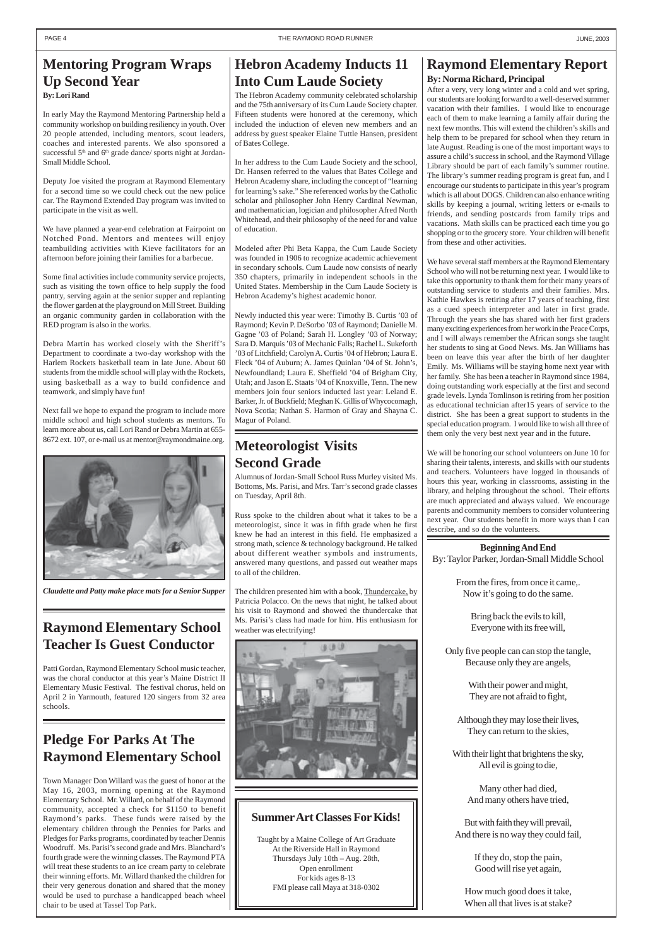# **Hebron Academy Inducts 11 Into Cum Laude Society**

The Hebron Academy community celebrated scholarship and the 75th anniversary of its Cum Laude Society chapter. Fifteen students were honored at the ceremony, which included the induction of eleven new members and an address by guest speaker Elaine Tuttle Hansen, president of Bates College.

In her address to the Cum Laude Society and the school, Dr. Hansen referred to the values that Bates College and Hebron Academy share, including the concept of "learning for learning's sake." She referenced works by the Catholic scholar and philosopher John Henry Cardinal Newman, and mathematician, logician and philosopher Afred North Whitehead, and their philosophy of the need for and value of education.

Modeled after Phi Beta Kappa, the Cum Laude Society was founded in 1906 to recognize academic achievement in secondary schools. Cum Laude now consists of nearly 350 chapters, primarily in independent schools in the United States. Membership in the Cum Laude Society is Hebron Academy's highest academic honor.

Newly inducted this year were: Timothy B. Curtis '03 of Raymond; Kevin P. DeSorbo '03 of Raymond; Danielle M. Gagne '03 of Poland; Sarah H. Longley '03 of Norway; Sara D. Marquis '03 of Mechanic Falls; Rachel L. Sukeforth '03 of Litchfield; Carolyn A. Curtis '04 of Hebron; Laura E. Fleck '04 of Auburn; A. James Quinlan '04 of St. John's, Newfoundland; Laura E. Sheffield '04 of Brigham City, Utah; and Jason E. Staats '04 of Knoxville, Tenn. The new members join four seniors inducted last year: Leland E. Barker, Jr. of Buckfield; Meghan K. Gillis of Whycocomagh, Nova Scotia; Nathan S. Harmon of Gray and Shayna C. Magur of Poland.

# **Pledge For Parks At The Raymond Elementary School**

Town Manager Don Willard was the guest of honor at the May 16, 2003, morning opening at the Raymond Elementary School. Mr. Willard, on behalf of the Raymond community, accepted a check for \$1150 to benefit Raymond's parks. These funds were raised by the elementary children through the Pennies for Parks and Pledges for Parks programs, coordinated by teacher Dennis Woodruff. Ms. Parisi's second grade and Mrs. Blanchard's fourth grade were the winning classes. The Raymond PTA will treat these students to an ice cream party to celebrate their winning efforts. Mr. Willard thanked the children for their very generous donation and shared that the money would be used to purchase a handicapped beach wheel chair to be used at Tassel Top Park.

# **Raymond Elementary School Teacher Is Guest Conductor**

Patti Gordan, Raymond Elementary School music teacher, was the choral conductor at this year's Maine District II Elementary Music Festival. The festival chorus, held on April 2 in Yarmouth, featured 120 singers from 32 area schools.

### **Beginning And End**

By: Taylor Parker, Jordan-Small Middle School

From the fires, from once it came,. Now it's going to do the same.

> Bring back the evils to kill, Everyone with its free will,

Only five people can can stop the tangle, Because only they are angels,

> With their power and might, They are not afraid to fight,

Although they may lose their lives, They can return to the skies,

With their light that brightens the sky, All evil is going to die,

> Many other had died, And many others have tried,

But with faith they will prevail, And there is no way they could fail,

> If they do, stop the pain, Good will rise yet again,

How much good does it take, When all that lives is at stake?

## **Raymond Elementary Report By: Norma Richard, Principal**

After a very, very long winter and a cold and wet spring, our students are looking forward to a well-deserved summer vacation with their families. I would like to encourage each of them to make learning a family affair during the next few months. This will extend the children's skills and help them to be prepared for school when they return in late August. Reading is one of the most important ways to assure a child's success in school, and the Raymond Village Library should be part of each family's summer routine. The library's summer reading program is great fun, and I encourage our students to participate in this year's program which is all about DOGS. Children can also enhance writing skills by keeping a journal, writing letters or e-mails to friends, and sending postcards from family trips and vacations. Math skills can be practiced each time you go shopping or to the grocery store. Your children will benefit from these and other activities.

We have several staff members at the Raymond Elementary School who will not be returning next year. I would like to take this opportunity to thank them for their many years of outstanding service to students and their families. Mrs. Kathie Hawkes is retiring after 17 years of teaching, first as a cued speech interpreter and later in first grade. Through the years she has shared with her first graders many exciting experiences from her work in the Peace Corps, and I will always remember the African songs she taught her students to sing at Good News. Ms. Jan Williams has been on leave this year after the birth of her daughter Emily. Ms. Williams will be staying home next year with her family. She has been a teacher in Raymond since 1984, doing outstanding work especially at the first and second grade levels. Lynda Tomlinson is retiring from her position as educational technician after15 years of service to the district. She has been a great support to students in the special education program. I would like to wish all three of them only the very best next year and in the future.

We will be honoring our school volunteers on June 10 for sharing their talents, interests, and skills with our students and teachers. Volunteers have logged in thousands of hours this year, working in classrooms, assisting in the library, and helping throughout the school. Their efforts are much appreciated and always valued. We encourage parents and community members to consider volunteering next year. Our students benefit in more ways than I can describe, and so do the volunteers.

# **Meteorologist Visits Second Grade**

Alumnus of Jordan-Small School Russ Murley visited Ms. Bottoms, Ms. Parisi, and Mrs. Tarr's second grade classes on Tuesday, April 8th.

Russ spoke to the children about what it takes to be a meteorologist, since it was in fifth grade when he first knew he had an interest in this field. He emphasized a strong math, science & technology background. He talked about different weather symbols and instruments, answered many questions, and passed out weather maps to all of the children.

The children presented him with a book, Thundercake, by Patricia Polacco. On the news that night, he talked about his visit to Raymond and showed the thundercake that Ms. Parisi's class had made for him. His enthusiasm for weather was electrifying!





*Claudette and Patty make place mats for a Senior Supper*

## **Mentoring Program Wraps Up Second Year By: Lori Rand**

In early May the Raymond Mentoring Partnership held a community workshop on building resiliency in youth. Over 20 people attended, including mentors, scout leaders, coaches and interested parents. We also sponsored a successful  $5<sup>th</sup>$  and  $6<sup>th</sup>$  grade dance/ sports night at Jordan-Small Middle School.

Deputy Joe visited the program at Raymond Elementary for a second time so we could check out the new police car. The Raymond Extended Day program was invited to participate in the visit as well.

We have planned a year-end celebration at Fairpoint on Notched Pond. Mentors and mentees will enjoy teambuilding activities with Kieve facilitators for an afternoon before joining their families for a barbecue.

Some final activities include community service projects, such as visiting the town office to help supply the food pantry, serving again at the senior supper and replanting the flower garden at the playground on Mill Street. Building an organic community garden in collaboration with the RED program is also in the works.

Debra Martin has worked closely with the Sheriff's Department to coordinate a two-day workshop with the Harlem Rockets basketball team in late June. About 60 students from the middle school will play with the Rockets, using basketball as a way to build confidence and teamwork, and simply have fun!

Next fall we hope to expand the program to include more middle school and high school students as mentors. To learn more about us, call Lori Rand or Debra Martin at 655- 8672 ext. 107, or e-mail us at mentor@raymondmaine.org.

## **Summer Art Classes For Kids!**

Taught by a Maine College of Art Graduate At the Riverside Hall in Raymond Thursdays July 10th – Aug. 28th, Open enrollment For kids ages 8-13 FMI please call Maya at 318-0302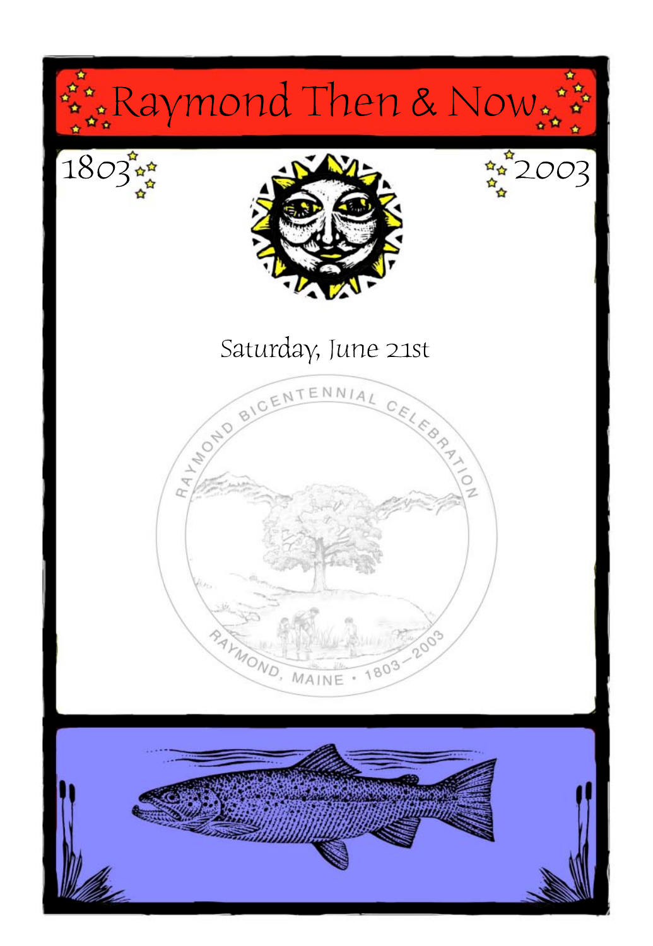

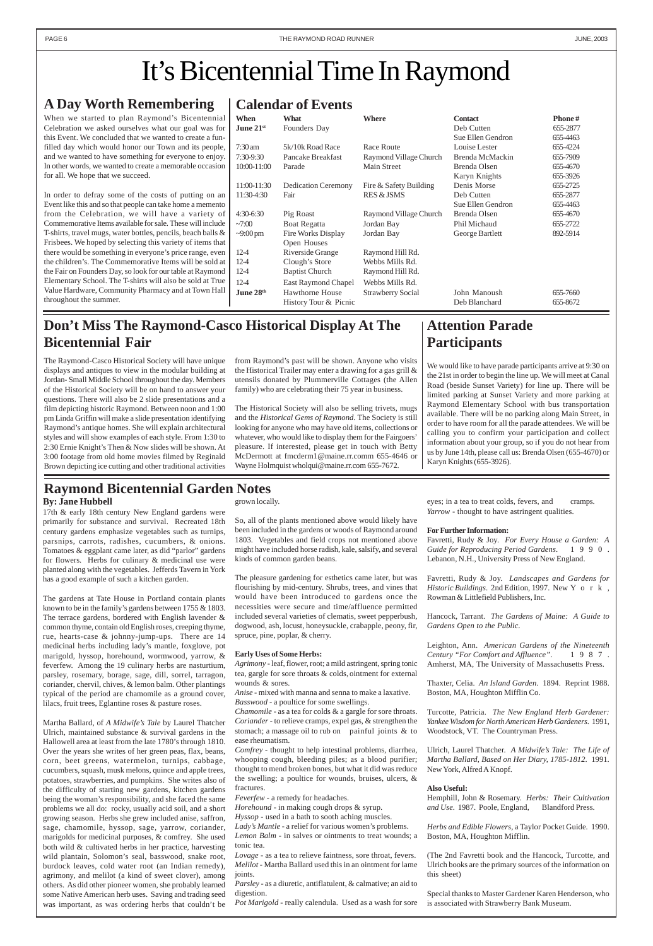# **Attention Parade Participants**

We would like to have parade participants arrive at 9:30 on the 21st in order to begin the line up. We will meet at Canal Road (beside Sunset Variety) for line up. There will be limited parking at Sunset Variety and more parking at Raymond Elementary School with bus transportation available. There will be no parking along Main Street, in order to have room for all the parade attendees. We will be calling you to confirm your participation and collect information about your group, so if you do not hear from us by June 14th, please call us: Brenda Olsen (655-4670) or Karyn Knights (655-3926).

## **Calendar of Events**

|                    | $\mathbf{r}$               |                        |                   |               |
|--------------------|----------------------------|------------------------|-------------------|---------------|
| When               | <b>What</b>                | <b>Where</b>           | <b>Contact</b>    | <b>Phone#</b> |
| June $21^{\rm st}$ | Founders Day               |                        | Deb Cutten        | 655-2877      |
|                    |                            |                        | Sue Ellen Gendron | 655-4463      |
| 7:30 am            | 5k/10k Road Race           | Race Route             | Louise Lester     | 655-4224      |
| 7:30-9:30          | Pancake Breakfast          | Raymond Village Church | Brenda McMackin   | 655-7909      |
| 10:00-11:00        | Parade                     | Main Street            | Brenda Olsen      | 655-4670      |
|                    |                            |                        | Karyn Knights     | 655-3926      |
| 11:00-11:30        | <b>Dedication Ceremony</b> | Fire & Safety Building | Denis Morse       | 655-2725      |
| 11:30-4:30         | Fair                       | <b>RES &amp; JSMS</b>  | Deb Cutten        | 655-2877      |
|                    |                            |                        | Sue Ellen Gendron | 655-4463      |
| 4:30-6:30          | Pig Roast                  | Raymond Village Church | Brenda Olsen      | 655-4670      |
| $-7:00$            | Boat Regatta               | Jordan Bay             | Phil Michaud      | 655-2722      |
| $\sim$ 9:00 pm     | Fire Works Display         | Jordan Bay             | George Bartlett   | 892-5914      |
|                    | Open Houses                |                        |                   |               |
| $12-4$             | Riverside Grange           | Raymond Hill Rd.       |                   |               |
| 12-4               | Clough's Store             | Webbs Mills Rd.        |                   |               |
| 12-4               | <b>Baptist Church</b>      | Raymond Hill Rd.       |                   |               |
| $12-4$             | East Raymond Chapel        | Webbs Mills Rd.        |                   |               |
| June $28^{\rm th}$ | Hawthorne House            | Strawberry Social      | John Manoush      | 655-7660      |
|                    | History Tour & Picnic      |                        | Deb Blanchard     | 655-8672      |

# **A Day Worth Remembering**

When we started to plan Raymond's Bicentennial Celebration we asked ourselves what our goal was for this Event. We concluded that we wanted to create a funfilled day which would honor our Town and its people, and we wanted to have something for everyone to enjoy. In other words, we wanted to create a memorable occasion for all. We hope that we succeed.

In order to defray some of the costs of putting on an Event like this and so that people can take home a memento from the Celebration, we will have a variety of Commemorative Items available for sale. These will include T-shirts, travel mugs, water bottles, pencils, beach balls & Frisbees. We hoped by selecting this variety of items that there would be something in everyone's price range, even the children's. The Commemorative Items will be sold at the Fair on Founders Day, so look for our table at Raymond Elementary School. The T-shirts will also be sold at True Value Hardware, Community Pharmacy and at Town Hall throughout the summer.

# **Don't Miss The Raymond-Casco Historical Display At The Bicentennial Fair**

# It's Bicentennial Time In Raymond

The Raymond-Casco Historical Society will have unique displays and antiques to view in the modular building at Jordan- Small Middle School throughout the day. Members of the Historical Society will be on hand to answer your questions. There will also be 2 slide presentations and a film depicting historic Raymond. Between noon and 1:00 pm Linda Griffin will make a slide presentation identifying Raymond's antique homes. She will explain architectural styles and will show examples of each style. From 1:30 to 2:30 Ernie Knight's Then & Now slides will be shown. At 3:00 footage from old home movies filmed by Reginald Brown depicting ice cutting and other traditional activities

from Raymond's past will be shown. Anyone who visits the Historical Trailer may enter a drawing for a gas grill & utensils donated by Plummerville Cottages (the Allen family) who are celebrating their 75 year in business.

The Historical Society will also be selling trivets, mugs and the *Historical Gems of Raymond*. The Society is still looking for anyone who may have old items, collections or whatever, who would like to display them for the Fairgoers' pleasure. If interested, please get in touch with Betty McDermott at fmcderm1@maine.rr.comm 655-4646 or Wayne Holmquist wholqui@maine.rr.com 655-7672.

*Lovage* - as a tea to relieve faintness, sore throat, fevers. *Melilot* - Martha Ballard used this in an ointment for lame joints.

# **Raymond Bicentennial Garden Notes**

**By: Jane Hubbell**

17th & early 18th century New England gardens were primarily for substance and survival. Recreated 18th century gardens emphasize vegetables such as turnips, parsnips, carrots, radishes, cucumbers, & onions. Tomatoes & eggplant came later, as did "parlor" gardens for flowers. Herbs for culinary & medicinal use were planted along with the vegetables. Jefferds Tavern in York has a good example of such a kitchen garden.

The gardens at Tate House in Portland contain plants known to be in the family's gardens between 1755 & 1803. The terrace gardens, bordered with English lavender & common thyme, contain old English roses, creeping thyme, rue, hearts-case & johnny-jump-ups. There are 14 medicinal herbs including lady's mantle, foxglove, pot marigold, hyssop, horehound, wormwood, yarrow, & feverfew. Among the 19 culinary herbs are nasturtium, parsley, rosemary, borage, sage, dill, sorrel, tarragon, coriander, chervil, chives, & lemon balm. Other plantings typical of the period are chamomile as a ground cover, lilacs, fruit trees, Eglantine roses & pasture roses.

Martha Ballard, of *A Midwife's Tale* by Laurel Thatcher Ulrich, maintained substance & survival gardens in the Hallowell area at least from the late 1780's through 1810. Over the years she writes of her green peas, flax, beans, corn, beet greens, watermelon, turnips, cabbage, cucumbers, squash, musk melons, quince and apple trees, potatoes, strawberries, and pumpkins. She writes also of the difficulty of starting new gardens, kitchen gardens being the woman's responsibility, and she faced the same problems we all do: rocky, usually acid soil, and a short growing season. Herbs she grew included anise, saffron, sage, chamomile, hyssop, sage, yarrow, coriander, marigolds for medicinal purposes, & comfrey. She used both wild & cultivated herbs in her practice, harvesting wild plantain, Solomon's seal, basswood, snake root, burdock leaves, cold water root (an Indian remedy), agrimony, and melilot (a kind of sweet clover), among others. As did other pioneer women, she probably learned some Native American herb uses. Saving and trading seed was important, as was ordering herbs that couldn't be

grown locally.

So, all of the plants mentioned above would likely have been included in the gardens or woods of Raymond around 1803. Vegetables and field crops not mentioned above might have included horse radish, kale, salsify, and several kinds of common garden beans.

The pleasure gardening for esthetics came later, but was flourishing by mid-century. Shrubs, trees, and vines that would have been introduced to gardens once the necessities were secure and time/affluence permitted included several varieties of clematis, sweet pepperbush, dogwood, ash, locust, honeysuckle, crabapple, peony, fir, spruce, pine, poplar, & cherry.

#### **Early Uses of Some Herbs:**

*Agrimony* - leaf, flower, root; a mild astringent, spring tonic tea, gargle for sore throats & colds, ointment for external wounds & sores.

*Anise* - mixed with manna and senna to make a laxative. *Basswood* - a poultice for some swellings.

*Chamomile* - as a tea for colds & a gargle for sore throats.

*Coriander* - to relieve cramps, expel gas, & strengthen the stomach; a massage oil to rub on painful joints & to ease rheumatism.

*Comfrey* - thought to help intestinal problems, diarrhea, whooping cough, bleeding piles; as a blood purifier; thought to mend broken bones, but what it did was reduce the swelling; a poultice for wounds, bruises, ulcers, &

#### fractures.

*Feverfew* - a remedy for headaches.

*Horehound* - in making cough drops & syrup. *Hyssop* - used in a bath to sooth aching muscles. *Lady's Mantle* - a relief for various women's problems. *Lemon Balm* - in salves or ointments to treat wounds; a tonic tea.

*Parsley* - as a diuretic, antiflatulent, & calmative; an aid to digestion.

*Pot Marigold* - really calendula. Used as a wash for sore

eyes; in a tea to treat colds, fevers, and cramps. *Yarrow* - thought to have astringent qualities.

#### **For Further Information:**

Favretti, Rudy & Joy. *For Every House a Garden: A Guide for Reproducing Period Gardens*. 1990. Lebanon, N.H., University Press of New England.

Favretti, Rudy & Joy. *Landscapes and Gardens for Historic Buildings.* 2nd Edition, 1997. New Y o r k, Rowman & Littlefield Publishers, Inc.

Hancock, Tarrant. *The Gardens of Maine: A Guide to Gardens Open to the Public*.

Leighton, Ann. *American Gardens of the Nineteenth Century "For Comfort and Affluence"*. 1987. Amherst, MA, The University of Massachusetts Press.

Thaxter, Celia. *An Island Garden*. 1894. Reprint 1988. Boston, MA, Houghton Mifflin Co.

Turcotte, Patricia. *The New England Herb Gardener:*

*Yankee Wisdom for North American Herb Gardeners*. 1991, Woodstock, VT. The Countryman Press.

Ulrich, Laurel Thatcher. *A Midwife's Tale: The Life of Martha Ballard, Based on Her Diary, 1785-1812*. 1991. New York, Alfred A Knopf.

#### **Also Useful:**

Hemphill, John & Rosemary. *Herbs: Their Cultivation and Use*. 1987. Poole, England, Blandford Press.

*Herbs and Edible Flowers*, a Taylor Pocket Guide. 1990. Boston, MA, Houghton Mifflin.

(The 2nd Favretti book and the Hancock, Turcotte, and Ulrich books are the primary sources of the information on this sheet)

Special thanks to Master Gardener Karen Henderson, who is associated with Strawberry Bank Museum.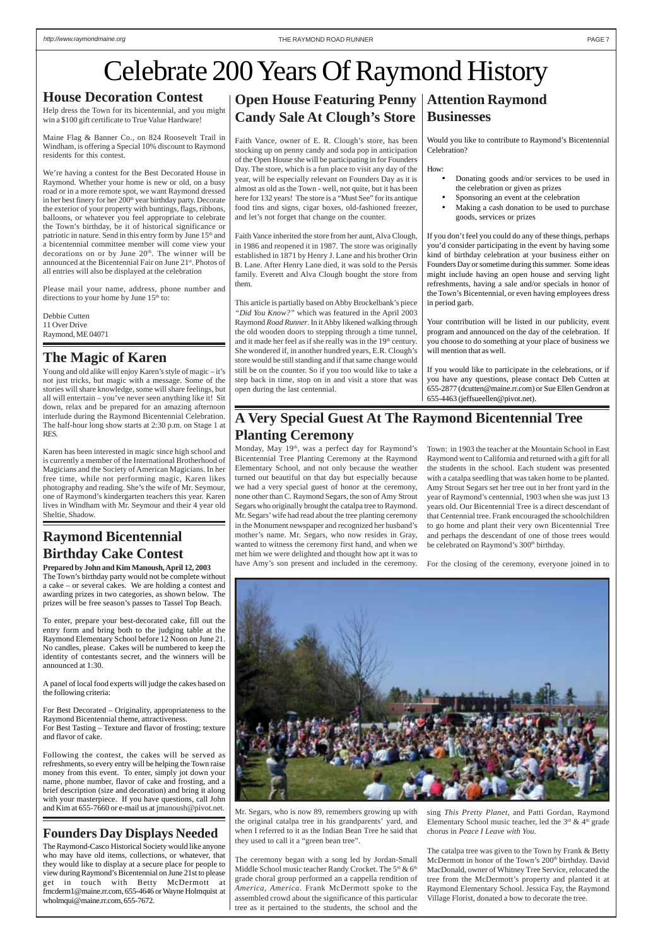# **Businesses**

Would you like to contribute to Raymond's Bicentennial Celebration?

How:

- Donating goods and/or services to be used in the celebration or given as prizes
- Sponsoring an event at the celebration
- Making a cash donation to be used to purchase goods, services or prizes

If you don't feel you could do any of these things, perhaps you'd consider participating in the event by having some kind of birthday celebration at your business either on Founders Day or sometime during this summer. Some ideas might include having an open house and serving light refreshments, having a sale and/or specials in honor of the Town's Bicentennial, or even having employees dress in period garb.

Your contribution will be listed in our publicity, event program and announced on the day of the celebration. If you choose to do something at your place of business we will mention that as well.

If you would like to participate in the celebrations, or if you have any questions, please contact Deb Cutten at 655-2877 (dcutten@maine.rr.com) or Sue Ellen Gendron at 655-4463 (jeffsueellen@pivot.net).

# **Raymond Bicentennial Birthday Cake Contest**

# **Open House Featuring Penny | Attention Raymond Candy Sale At Clough's Store**

**Prepared by John and Kim Manoush, April 12, 2003** The Town's birthday party would not be complete without a cake – or several cakes. We are holding a contest and awarding prizes in two categories, as shown below. The prizes will be free season's passes to Tassel Top Beach.

To enter, prepare your best-decorated cake, fill out the entry form and bring both to the judging table at the Raymond Elementary School before 12 Noon on June 21. No candles, please. Cakes will be numbered to keep the identity of contestants secret, and the winners will be announced at 1:30.

A panel of local food experts will judge the cakes based on the following criteria:

For Best Decorated – Originality, appropriateness to the

Raymond Bicentennial theme, attractiveness. For Best Tasting – Texture and flavor of frosting; texture and flavor of cake.

Following the contest, the cakes will be served as refreshments, so every entry will be helping the Town raise money from this event. To enter, simply jot down your name, phone number, flavor of cake and frosting, and a brief description (size and decoration) and bring it along with your masterpiece. If you have questions, call John and Kim at 655-7660 or e-mail us at jmanoush@pivot.net.

Please mail your name, address, phone number and directions to your home by June  $15<sup>th</sup>$  to:

Faith Vance, owner of E. R. Clough's store, has been stocking up on penny candy and soda pop in anticipation of the Open House she will be participating in for Founders Day. The store, which is a fun place to visit any day of the year, will be especially relevant on Founders Day as it is almost as old as the Town - well, not quite, but it has been here for 132 years! The store is a "Must See" for its antique food tins and signs, cigar boxes, old-fashioned freezer, and let's not forget that change on the counter.

Faith Vance inherited the store from her aunt, Alva Clough, in 1986 and reopened it in 1987. The store was originally established in 1871 by Henry J. Lane and his brother Orin B. Lane. After Henry Lane died, it was sold to the Persis family. Everett and Alva Clough bought the store from them.

Monday, May 19<sup>th</sup>, was a perfect day for Raymond's Bicentennial Tree Planting Ceremony at the Raymond Elementary School, and not only because the weather turned out beautiful on that day but especially because we had a very special guest of honor at the ceremony, none other than C. Raymond Segars, the son of Amy Strout Segars who originally brought the catalpa tree to Raymond. Mr. Segars' wife had read about the tree planting ceremony in the Monument newspaper and recognized her husband's mother's name. Mr. Segars, who now resides in Gray, wanted to witness the ceremony first hand, and when we met him we were delighted and thought how apt it was to have Amy's son present and included in the ceremony.

Town: in 1903 the teacher at the Mountain School in East Raymond went to California and returned with a gift for all the students in the school. Each student was presented with a catalpa seedling that was taken home to be planted. Amy Strout Segars set her tree out in her front yard in the year of Raymond's centennial, 1903 when she was just 13 years old. Our Bicentennial Tree is a direct descendant of that Centennial tree. Frank encouraged the schoolchildren to go home and plant their very own Bicentennial Tree and perhaps the descendant of one of those trees would be celebrated on Raymond's 300<sup>th</sup> birthday.

This article is partially based on Abby Brockelbank's piece *"Did You Know?"* which was featured in the April 2003 Raymond *Road Runner*. In it Abby likened walking through the old wooden doors to stepping through a time tunnel, and it made her feel as if she really was in the 19<sup>th</sup> century. She wondered if, in another hundred years, E.R. Clough's store would be still standing and if that same change would still be on the counter. So if you too would like to take a step back in time, stop on in and visit a store that was open during the last centennial.

# **House Decoration Contest**

Help dress the Town for its bicentennial, and you might win a \$100 gift certificate to True Value Hardware!

Maine Flag & Banner Co., on 824 Roosevelt Trail in Windham, is offering a Special 10% discount to Raymond residents for this contest.

We're having a contest for the Best Decorated House in Raymond. Whether your home is new or old, on a busy road or in a more remote spot, we want Raymond dressed in her best finery for her 200<sup>th</sup> year birthday party. Decorate the exterior of your property with buntings, flags, ribbons, balloons, or whatever you feel appropriate to celebrate the Town's birthday, be it of historical significance or patriotic in nature. Send in this entry form by June 15<sup>th</sup> and a bicentennial committee member will come view your decorations on or by June  $20<sup>th</sup>$ . The winner will be announced at the Bicentennial Fair on June 21st. Photos of all entries will also be displayed at the celebration

Debbie Cutten 11 Over Drive Raymond, ME 04071

## **The Magic of Karen**

Young and old alike will enjoy Karen's style of magic – it's not just tricks, but magic with a message. Some of the stories will share knowledge, some will share feelings, but all will entertain – you've never seen anything like it! Sit down, relax and be prepared for an amazing afternoon interlude during the Raymond Bicentennial Celebration. The half-hour long show starts at 2:30 p.m. on Stage 1 at RES.

Karen has been interested in magic since high school and is currently a member of the International Brotherhood of Magicians and the Society of American Magicians. In her free time, while not performing magic, Karen likes photography and reading. She's the wife of Mr. Seymour, one of Raymond's kindergarten teachers this year. Karen lives in Windham with Mr. Seymour and their 4 year old Sheltie, Shadow.

# Celebrate 200 Years Of Raymond History

# **A Very Special Guest At The Raymond Bicentennial Tree Planting Ceremony**

Mr. Segars, who is now 89, remembers growing up with the original catalpa tree in his grandparents' yard, and when I referred to it as the Indian Bean Tree he said that they used to call it a "green bean tree".

The ceremony began with a song led by Jordan-Small Middle School music teacher Randy Crocket. The 5<sup>th</sup> & 6<sup>th</sup> grade choral group performed an a cappella rendition of *America, America*. Frank McDermott spoke to the assembled crowd about the significance of this particular tree as it pertained to the students, the school and the

For the closing of the ceremony, everyone joined in to



sing *This Pretty Planet,* and Patti Gordan, Raymond Elementary School music teacher, led the  $3<sup>rd</sup>$  &  $4<sup>th</sup>$  grade chorus in *Peace I Leave with You.*

The catalpa tree was given to the Town by Frank & Betty McDermott in honor of the Town's 200<sup>th</sup> birthday. David MacDonald, owner of Whitney Tree Service, relocated the tree from the McDermott's property and planted it at Raymond Elementary School. Jessica Fay, the Raymond Village Florist, donated a bow to decorate the tree.

### **Founders Day Displays Needed**

The Raymond-Casco Historical Society would like anyone who may have old items, collections, or whatever, that they would like to display at a secure place for people to view during Raymond's Bicentennial on June 21st to please get in touch with Betty McDermott at fmcderm1@maine.rr.com, 655-4646 or Wayne Holmquist at wholmqui@maine.rr.com, 655-7672.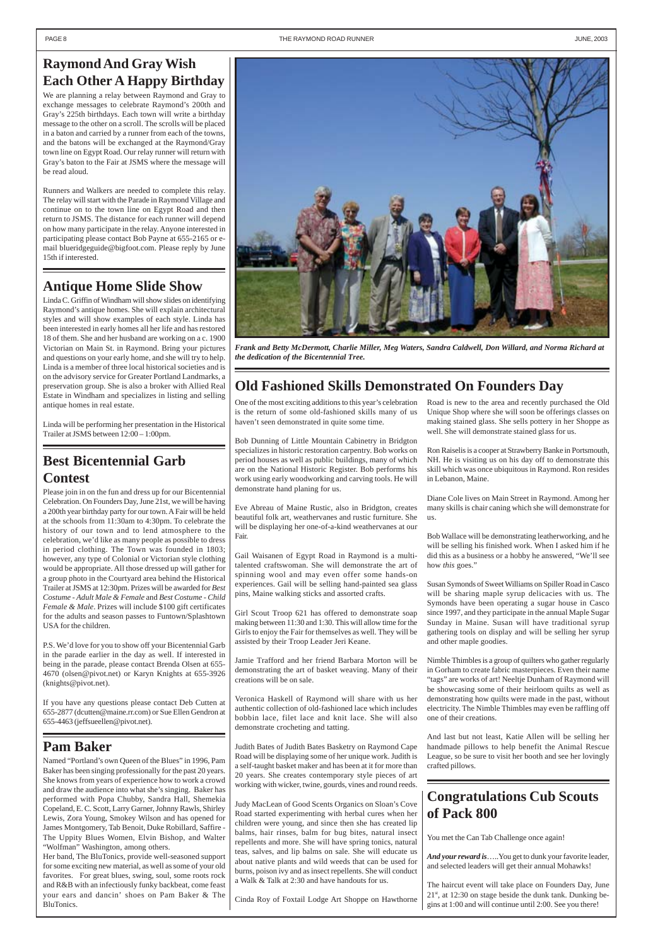#### PAGE 8 THE RAYMOND ROAD RUNNER THE RAYMOND ROAD RUNNER THE SAME THE RAYMOND ROAD RUNNER THE SAME THE SAME THE SAME THE SAME THE SAME THE SAME THE SAME THE SAME THE SAME THE SAME THE SAME THE SAME THE SAME THE SAME THE SAME

# **Raymond And Gray Wish Each Other A Happy Birthday**

We are planning a relay between Raymond and Gray to exchange messages to celebrate Raymond's 200th and Gray's 225th birthdays. Each town will write a birthday message to the other on a scroll. The scrolls will be placed in a baton and carried by a runner from each of the towns, and the batons will be exchanged at the Raymond/Gray town line on Egypt Road. Our relay runner will return with Gray's baton to the Fair at JSMS where the message will be read aloud.

Runners and Walkers are needed to complete this relay. The relay will start with the Parade in Raymond Village and continue on to the town line on Egypt Road and then return to JSMS. The distance for each runner will depend on how many participate in the relay. Anyone interested in participating please contact Bob Payne at 655-2165 or email blueridgeguide@bigfoot.com. Please reply by June 15th if interested.

## **Congratulations Cub Scouts of Pack 800**

You met the Can Tab Challenge once again!

*And your reward is*…..You get to dunk your favorite leader, and selected leaders will get their annual Mohawks!

The haircut event will take place on Founders Day, June 21st, at 12:30 on stage beside the dunk tank. Dunking begins at 1:00 and will continue until 2:00. See you there!

## **Pam Baker**

Named "Portland's own Queen of the Blues" in 1996, Pam Baker has been singing professionally for the past 20 years. She knows from years of experience how to work a crowd and draw the audience into what she's singing. Baker has performed with Popa Chubby, Sandra Hall, Shemekia Copeland, E. C. Scott, Larry Garner, Johnny Rawls, Shirley Lewis, Zora Young, Smokey Wilson and has opened for James Montgomery, Tab Benoit, Duke Robillard, Saffire - The Uppity Blues Women, Elvin Bishop, and Walter "Wolfman" Washington, among others.

Her band, The BluTonics, provide well-seasoned support for some exciting new material, as well as some of your old favorites. For great blues, swing, soul, some roots rock and R&B with an infectiously funky backbeat, come feast your ears and dancin' shoes on Pam Baker & The BluTonics.

# **Old Fashioned Skills Demonstrated On Founders Day**

One of the most exciting additions to this year's celebration is the return of some old-fashioned skills many of us haven't seen demonstrated in quite some time.

Bob Dunning of Little Mountain Cabinetry in Bridgton specializes in historic restoration carpentry. Bob works on period houses as well as public buildings, many of which are on the National Historic Register. Bob performs his work using early woodworking and carving tools. He will demonstrate hand planing for us.

Eve Abreau of Maine Rustic, also in Bridgton, creates beautiful folk art, weathervanes and rustic furniture. She will be displaying her one-of-a-kind weathervanes at our Fair.

Gail Waisanen of Egypt Road in Raymond is a multitalented craftswoman. She will demonstrate the art of spinning wool and may even offer some hands-on experiences. Gail will be selling hand-painted sea glass pins, Maine walking sticks and assorted crafts.

Girl Scout Troop 621 has offered to demonstrate soap making between 11:30 and 1:30. This will allow time for the Girls to enjoy the Fair for themselves as well. They will be assisted by their Troop Leader Jeri Keane.

Jamie Trafford and her friend Barbara Morton will be demonstrating the art of basket weaving. Many of their creations will be on sale.

Veronica Haskell of Raymond will share with us her authentic collection of old-fashioned lace which includes bobbin lace, filet lace and knit lace. She will also demonstrate crocheting and tatting.

Judith Bates of Judith Bates Basketry on Raymond Cape Road will be displaying some of her unique work. Judith is a self-taught basket maker and has been at it for more than 20 years. She creates contemporary style pieces of art working with wicker, twine, gourds, vines and round reeds.

Judy MacLean of Good Scents Organics on Sloan's Cove Road started experimenting with herbal cures when her children were young, and since then she has created lip balms, hair rinses, balm for bug bites, natural insect repellents and more. She will have spring tonics, natural teas, salves, and lip balms on sale. She will educate us about native plants and wild weeds that can be used for burns, poison ivy and as insect repellents. She will conduct a Walk & Talk at 2:30 and have handouts for us.

Cinda Roy of Foxtail Lodge Art Shoppe on Hawthorne

Road is new to the area and recently purchased the Old Unique Shop where she will soon be offerings classes on making stained glass. She sells pottery in her Shoppe as well. She will demonstrate stained glass for us.

Ron Raiselis is a cooper at Strawberry Banke in Portsmouth, NH. He is visiting us on his day off to demonstrate this skill which was once ubiquitous in Raymond. Ron resides in Lebanon, Maine.

Diane Cole lives on Main Street in Raymond. Among her many skills is chair caning which she will demonstrate for us.

Bob Wallace will be demonstrating leatherworking, and he will be selling his finished work. When I asked him if he did this as a business or a hobby he answered, "We'll see how *this* goes."

Susan Symonds of Sweet Williams on Spiller Road in Casco will be sharing maple syrup delicacies with us. The Symonds have been operating a sugar house in Casco since 1997, and they participate in the annual Maple Sugar Sunday in Maine. Susan will have traditional syrup gathering tools on display and will be selling her syrup and other maple goodies.

Nimble Thimbles is a group of quilters who gather regularly in Gorham to create fabric masterpieces. Even their name "tags" are works of art! Neeltje Dunham of Raymond will be showcasing some of their heirloom quilts as well as demonstrating how quilts were made in the past, without electricity. The Nimble Thimbles may even be raffling off

one of their creations.

And last but not least, Katie Allen will be selling her handmade pillows to help benefit the Animal Rescue League, so be sure to visit her booth and see her lovingly crafted pillows.



# **Antique Home Slide Show**

Linda C. Griffin of Windham will show slides on identifying Raymond's antique homes. She will explain architectural styles and will show examples of each style. Linda has been interested in early homes all her life and has restored 18 of them. She and her husband are working on a c. 1900 Victorian on Main St. in Raymond. Bring your pictures and questions on your early home, and she will try to help. Linda is a member of three local historical societies and is on the advisory service for Greater Portland Landmarks, a preservation group. She is also a broker with Allied Real Estate in Windham and specializes in listing and selling antique homes in real estate.

Linda will be performing her presentation in the Historical Trailer at JSMS between 12:00 – 1:00pm.

# **Best Bicentennial Garb Contest**

Please join in on the fun and dress up for our Bicentennial Celebration. On Founders Day, June 21st, we will be having a 200th year birthday party for our town. A Fair will be held at the schools from 11:30am to 4:30pm. To celebrate the history of our town and to lend atmosphere to the celebration, we'd like as many people as possible to dress in period clothing. The Town was founded in 1803; however, any type of Colonial or Victorian style clothing would be appropriate. All those dressed up will gather for a group photo in the Courtyard area behind the Historical Trailer at JSMS at 12:30pm. Prizes will be awarded for *Best Costume - Adult Male & Female* and *Best Costume - Child Female & Male*. Prizes will include \$100 gift certificates for the adults and season passes to Funtown/Splashtown USA for the children.

P.S. We'd love for you to show off your Bicentennial Garb in the parade earlier in the day as well. If interested in being in the parade, please contact Brenda Olsen at 655- 4670 (olsen@pivot.net) or Karyn Knights at 655-3926 (knights@pivot.net).

If you have any questions please contact Deb Cutten at 655-2877 (dcutten@maine.rr.com) or Sue Ellen Gendron at

655-4463 (jeffsueellen@pivot.net).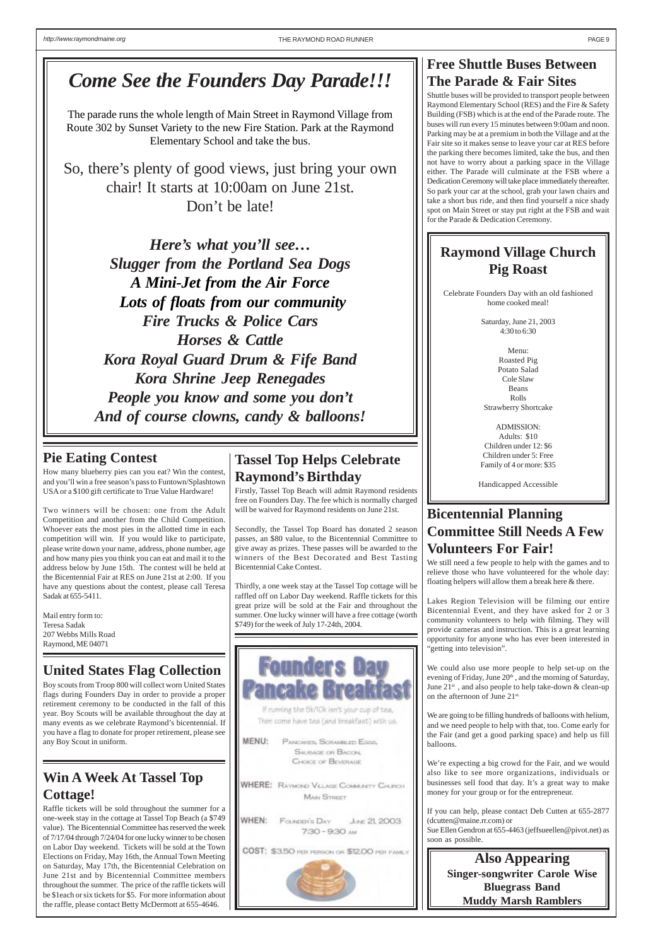# **Free Shuttle Buses Between The Parade & Fair Sites**

Shuttle buses will be provided to transport people between Raymond Elementary School (RES) and the Fire & Safety Building (FSB) which is at the end of the Parade route. The buses will run every 15 minutes between 9:00am and noon. Parking may be at a premium in both the Village and at the Fair site so it makes sense to leave your car at RES before the parking there becomes limited, take the bus, and then not have to worry about a parking space in the Village either. The Parade will culminate at the FSB where a Dedication Ceremony will take place immediately thereafter. So park your car at the school, grab your lawn chairs and take a short bus ride, and then find yourself a nice shady spot on Main Street or stay put right at the FSB and wait for the Parade & Dedication Ceremony.

## **Pie Eating Contest**

How many blueberry pies can you eat? Win the contest, and you'll win a free season's pass to Funtown/Splashtown USA or a \$100 gift certificate to True Value Hardware!

Two winners will be chosen: one from the Adult Competition and another from the Child Competition. Whoever eats the most pies in the allotted time in each competition will win. If you would like to participate, please write down your name, address, phone number, age and how many pies you think you can eat and mail it to the address below by June 15th. The contest will be held at the Bicentennial Fair at RES on June 21st at 2:00. If you have any questions about the contest, please call Teresa Sadak at 655-5411.

Mail entry form to: Teresa Sadak 207 Webbs Mills Road Raymond, ME 04071

# **Win A Week At Tassel Top Cottage!**

Raffle tickets will be sold throughout the summer for a one-week stay in the cottage at Tassel Top Beach (a \$749 value). The Bicentennial Committee has reserved the week of 7/17/04 through 7/24/04 for one lucky winner to be chosen on Labor Day weekend. Tickets will be sold at the Town Elections on Friday, May 16th, the Annual Town Meeting on Saturday, May 17th, the Bicentennial Celebration on June 21st and by Bicentennial Committee members throughout the summer. The price of the raffle tickets will be \$1each or six tickets for \$5. For more information about the raffle, please contact Betty McDermott at 655-4646.

Then come have tea (and breakfast) with us.

MENU: PANCAKES, SCRAMILED EGGS, **SAUSAGE OR BACON CHOICE OF BEVERAGE** 

WHERE: RAYMOND VELAGE COMMUNITY CHURCH **MAIN STREET** 

WHEN: FOUNDER'S DAY June: 21, 2003 7:30 - 9:30 AM

COST: \$3.50 PER PERSON OR \$12.00 PER PAMILY



# **Tassel Top Helps Celebrate Raymond's Birthday**

Firstly, Tassel Top Beach will admit Raymond residents free on Founders Day. The fee which is normally charged will be waived for Raymond residents on June 21st.

Secondly, the Tassel Top Board has donated 2 season passes, an \$80 value, to the Bicentennial Committee to give away as prizes. These passes will be awarded to the winners of the Best Decorated and Best Tasting Bicentennial Cake Contest.

Thirdly, a one week stay at the Tassel Top cottage will be raffled off on Labor Day weekend. Raffle tickets for this great prize will be sold at the Fair and throughout the summer. One lucky winner will have a free cottage (worth \$749) for the week of July 17-24th, 2004.



If running the Sk/IOk lan't your cup of

# **Bicentennial Planning Committee Still Needs A Few Volunteers For Fair!**

We still need a few people to help with the games and to relieve those who have volunteered for the whole day: floating helpers will allow them a break here & there.

Lakes Region Television will be filming our entire Bicentennial Event, and they have asked for 2 or 3 community volunteers to help with filming. They will provide cameras and instruction. This is a great learning opportunity for anyone who has ever been interested in "getting into television".

We could also use more people to help set-up on the evening of Friday, June 20<sup>th</sup>, and the morning of Saturday, June  $21^{\rm st}$  , and also people to help take-down & clean-up on the afternoon of June 21st.

We are going to be filling hundreds of balloons with helium, and we need people to help with that, too. Come early for the Fair (and get a good parking space) and help us fill balloons.

We're expecting a big crowd for the Fair, and we would also like to see more organizations, individuals or businesses sell food that day. It's a great way to make money for your group or for the entrepreneur.

If you can help, please contact Deb Cutten at 655-2877 (dcutten@maine.rr.com) or Sue Ellen Gendron at 655-4463 (jeffsueellen@pivot.net) as soon as possible.

# **Raymond Village Church Pig Roast**

Celebrate Founders Day with an old fashioned home cooked meal!

> Saturday, June 21, 2003 4:30 to 6:30

- Menu: Roasted Pig Potato Salad Cole Slaw Beans Rolls Strawberry Shortcake
- ADMISSION: Adults: \$10 Children under 12: \$6 Children under 5: Free Family of 4 or more: \$35

Handicapped Accessible

# **United States Flag Collection**

Boy scouts from Troop 800 will collect worn United States flags during Founders Day in order to provide a proper retirement ceremony to be conducted in the fall of this year. Boy Scouts will be available throughout the day at many events as we celebrate Raymond's bicentennial. If you have a flag to donate for proper retirement, please see any Boy Scout in uniform.

# *Come See the Founders Day Parade!!!*

The parade runs the whole length of Main Street in Raymond Village from Route 302 by Sunset Variety to the new Fire Station. Park at the Raymond Elementary School and take the bus.

So, there's plenty of good views, just bring your own chair! It starts at 10:00am on June 21st. Don't be late!

*Here's what you'll see… Slugger from the Portland Sea Dogs A Mini-Jet from the Air Force Lots of floats from our community Fire Trucks & Police Cars Horses & Cattle Kora Royal Guard Drum & Fife Band Kora Shrine Jeep Renegades People you know and some you don't And of course clowns, candy & balloons!*

## **Also Appearing Singer-songwriter Carole Wise Bluegrass Band Muddy Marsh Ramblers**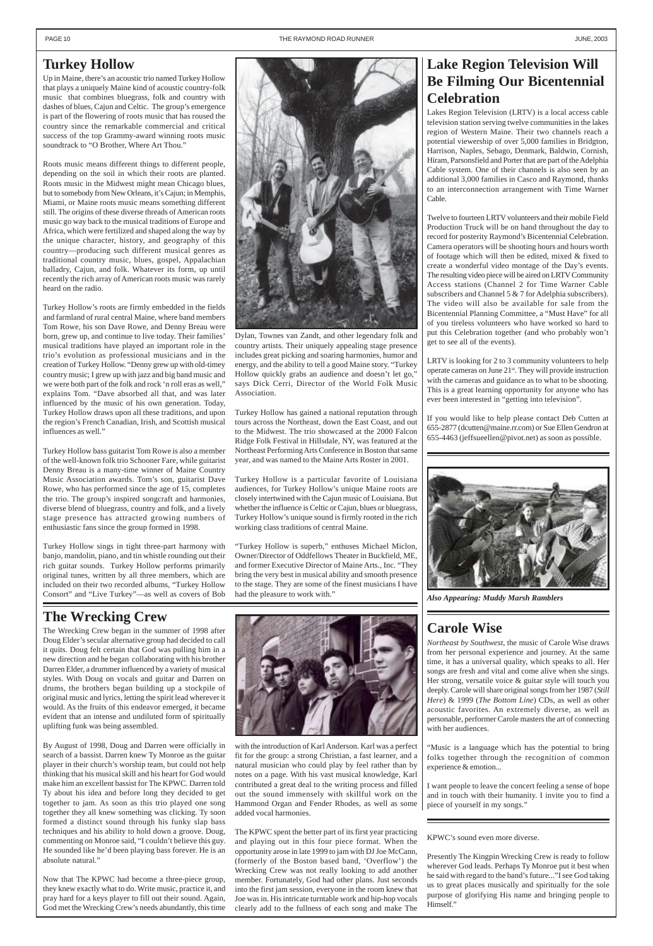# **The Wrecking Crew**

The Wrecking Crew began in the summer of 1998 after Doug Elder's secular alternative group had decided to call it quits. Doug felt certain that God was pulling him in a new direction and he began collaborating with his brother Darren Elder, a drummer influenced by a variety of musical styles. With Doug on vocals and guitar and Darren on drums, the brothers began building up a stockpile of original music and lyrics, letting the spirit lead wherever it would. As the fruits of this endeavor emerged, it became evident that an intense and undiluted form of spiritually uplifting funk was being assembled.

By August of 1998, Doug and Darren were officially in search of a bassist. Darren knew Ty Monroe as the guitar player in their church's worship team, but could not help thinking that his musical skill and his heart for God would make him an excellent bassist for The KPWC. Darren told Ty about his idea and before long they decided to get together to jam. As soon as this trio played one song together they all knew something was clicking. Ty soon formed a distinct sound through his funky slap bass techniques and his ability to hold down a groove. Doug, commenting on Monroe said, "I couldn't believe this guy. He sounded like he'd been playing bass forever. He is an absolute natural."

Now that The KPWC had become a three-piece group, they knew exactly what to do. Write music, practice it, and pray hard for a keys player to fill out their sound. Again, God met the Wrecking Crew's needs abundantly, this time

Up in Maine, there's an acoustic trio named Turkey Hollow that plays a uniquely Maine kind of acoustic country-folk music that combines bluegrass, folk and country with dashes of blues, Cajun and Celtic. The group's emergence is part of the flowering of roots music that has roused the country since the remarkable commercial and critical success of the top Grammy-award winning roots music soundtrack to "O Brother, Where Art Thou."

Roots music means different things to different people, depending on the soil in which their roots are planted. Roots music in the Midwest might mean Chicago blues, but to somebody from New Orleans, it's Cajun; in Memphis, Miami, or Maine roots music means something different still. The origins of these diverse threads of American roots music go way back to the musical traditions of Europe and Africa, which were fertilized and shaped along the way by the unique character, history, and geography of this country—producing such different musical genres as traditional country music, blues, gospel, Appalachian balladry, Cajun, and folk. Whatever its form, up until recently the rich array of American roots music was rarely heard on the radio.

Turkey Hollow's roots are firmly embedded in the fields and farmland of rural central Maine, where band members Tom Rowe, his son Dave Rowe, and Denny Breau were born, grew up, and continue to live today. Their families' musical traditions have played an important role in the trio's evolution as professional musicians and in the creation of Turkey Hollow. "Denny grew up with old-timey country music; I grew up with jazz and big band music and we were both part of the folk and rock 'n roll eras as well," explains Tom. "Dave absorbed all that, and was later influenced by the music of his own generation. Today, Turkey Hollow draws upon all these traditions, and upon the region's French Canadian, Irish, and Scottish musical influences as well."

Turkey Hollow bass guitarist Tom Rowe is also a member of the well-known folk trio Schooner Fare, while guitarist Denny Breau is a many-time winner of Maine Country Music Association awards. Tom's son, guitarist Dave Rowe, who has performed since the age of 15, completes the trio. The group's inspired songcraft and harmonies, diverse blend of bluegrass, country and folk, and a lively stage presence has attracted growing numbers of enthusiastic fans since the group formed in 1998.

Turkey Hollow sings in tight three-part harmony with banjo, mandolin, piano, and tin whistle rounding out their rich guitar sounds. Turkey Hollow performs primarily original tunes, written by all three members, which are included on their two recorded albums, "Turkey Hollow Consort" and "Live Turkey"—as well as covers of Bob

# **Lake Region Television Will Be Filming Our Bicentennial Celebration**

Lakes Region Television (LRTV) is a local access cable television station serving twelve communities in the lakes region of Western Maine. Their two channels reach a potential viewership of over 5,000 families in Bridgton, Harrison, Naples, Sebago, Denmark, Baldwin, Cornish, Hiram, Parsonsfield and Porter that are part of the Adelphia Cable system. One of their channels is also seen by an additional 3,000 families in Casco and Raymond, thanks to an interconnection arrangement with Time Warner Cable.

Twelve to fourteen LRTV volunteers and their mobile Field Production Truck will be on hand throughout the day to record for posterity Raymond's Bicentennial Celebration. Camera operators will be shooting hours and hours worth of footage which will then be edited, mixed & fixed to create a wonderful video montage of the Day's events. The resulting video piece will be aired on LRTV Community Access stations (Channel 2 for Time Warner Cable subscribers and Channel 5 & 7 for Adelphia subscribers). The video will also be available for sale from the Bicentennial Planning Committee, a "Must Have" for all of you tireless volunteers who have worked so hard to put this Celebration together (and who probably won't get to see all of the events).

LRTV is looking for 2 to 3 community volunteers to help operate cameras on June 21<sup>st</sup>. They will provide instruction with the cameras and guidance as to what to be shooting. This is a great learning opportunity for anyone who has ever been interested in "getting into television".

If you would like to help please contact Deb Cutten at 655-2877 (dcutten@maine.rr.com) or Sue Ellen Gendron at 655-4463 (jeffsueellen@pivot.net) as soon as possible.



country artists. Their uniquely appealing stage presence includes great picking and soaring harmonies, humor and energy, and the ability to tell a good Maine story. "Turkey Hollow quickly grabs an audience and doesn't let go," says Dick Cerri, Director of the World Folk Music Association.

Turkey Hollow has gained a national reputation through tours across the Northeast, down the East Coast, and out to the Midwest. The trio showcased at the 2000 Falcon Ridge Folk Festival in Hillsdale, NY, was featured at the Northeast Performing Arts Conference in Boston that same year, and was named to the Maine Arts Roster in 2001.

Turkey Hollow is a particular favorite of Louisiana audiences, for Turkey Hollow's unique Maine roots are closely intertwined with the Cajun music of Louisiana. But whether the influence is Celtic or Cajun, blues or bluegrass, Turkey Hollow's unique sound is firmly rooted in the rich working class traditions of central Maine.

"Turkey Hollow is superb," enthuses Michael Miclon, Owner/Director of Oddfellows Theater in Buckfield, ME, and former Executive Director of Maine Arts., Inc. "They bring the very best in musical ability and smooth presence to the stage. They are some of the finest musicians I have had the pleasure to work with."



# **Carole Wise**

*Northeast by Southwest*, the music of Carole Wise draws from her personal experience and journey. At the same time, it has a universal quality, which speaks to all. Her songs are fresh and vital and come alive when she sings. Her strong, versatile voice & guitar style will touch you deeply. Carole will share original songs from her 1987 (*Still Here*) & 1999 (*The Bottom Line*) CDs, as well as other acoustic favorites. An extremely diverse, as well as personable, performer Carole masters the art of connecting with her audiences.

"Music is a language which has the potential to bring folks together through the recognition of common experience & emotion...

I want people to leave the concert feeling a sense of hope and in touch with their humanity. I invite you to find a piece of yourself in my songs."

with the introduction of Karl Anderson. Karl was a perfect fit for the group: a strong Christian, a fast learner, and a natural musician who could play by feel rather than by notes on a page. With his vast musical knowledge, Karl contributed a great deal to the writing process and filled out the sound immensely with skillful work on the Hammond Organ and Fender Rhodes, as well as some added vocal harmonies.

The KPWC spent the better part of its first year practicing and playing out in this four piece format. When the opportunity arose in late 1999 to jam with DJ Joe McCann, (formerly of the Boston based band, 'Overflow') the Wrecking Crew was not really looking to add another member. Fortunately, God had other plans. Just seconds into the first jam session, everyone in the room knew that Joe was in. His intricate turntable work and hip-hop vocals clearly add to the fullness of each song and make The

KPWC's sound even more diverse.

Presently The Kingpin Wrecking Crew is ready to follow wherever God leads. Perhaps Ty Monroe put it best when he said with regard to the band's future..."I see God taking us to great places musically and spiritually for the sole purpose of glorifying His name and bringing people to Himself."



*Also Appearing: Muddy Marsh Ramblers*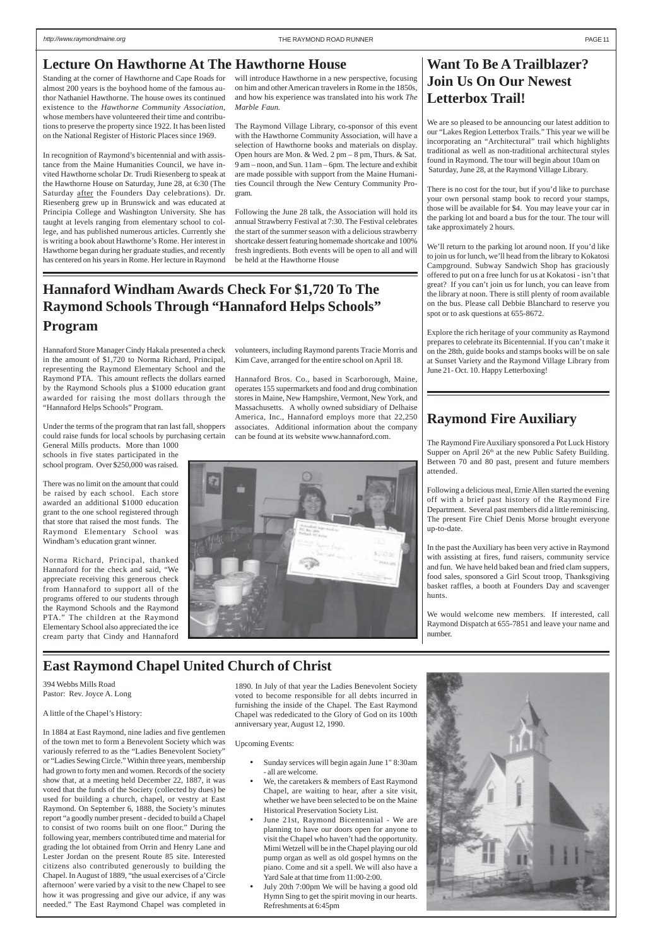## **Lecture On Hawthorne At The Hawthorne House Manufacture 1 Want To Be A Trailblazer?**

# **Join Us On Our Newest Letterbox Trail!**

We are so pleased to be announcing our latest addition to our "Lakes Region Letterbox Trails." This year we will be incorporating an "Architectural" trail which highlights traditional as well as non-traditional architectural styles found in Raymond. The tour will begin about 10am on Saturday, June 28, at the Raymond Village Library.

There is no cost for the tour, but if you'd like to purchase your own personal stamp book to record your stamps, those will be available for \$4. You may leave your car in the parking lot and board a bus for the tour. The tour will take approximately 2 hours.

We'll return to the parking lot around noon. If you'd like to join us for lunch, we'll head from the library to Kokatosi Campground. Subway Sandwich Shop has graciously offered to put on a free lunch for us at Kokatosi - isn't that great? If you can't join us for lunch, you can leave from the library at noon. There is still plenty of room available on the bus. Please call Debbie Blanchard to reserve you spot or to ask questions at 655-8672.

Explore the rich heritage of your community as Raymond prepares to celebrate its Bicentennial. If you can't make it on the 28th, guide books and stamps books will be on sale at Sunset Variety and the Raymond Village Library from June 21- Oct. 10. Happy Letterboxing!

## **East Raymond Chapel United Church of Christ**

# **Raymond Fire Auxiliary**

The Raymond Fire Auxiliary sponsored a Pot Luck History Supper on April 26<sup>th</sup> at the new Public Safety Building. Between 70 and 80 past, present and future members attended.

Following a delicious meal, Ernie Allen started the evening off with a brief past history of the Raymond Fire Department. Several past members did a little reminiscing. The present Fire Chief Denis Morse brought everyone up-to-date.

In the past the Auxiliary has been very active in Raymond with assisting at fires, fund raisers, community service and fun. We have held baked bean and fried clam suppers, food sales, sponsored a Girl Scout troop, Thanksgiving basket raffles, a booth at Founders Day and scavenger hunts.

We would welcome new members. If interested, call Raymond Dispatch at 655-7851 and leave your name and number.

394 Webbs Mills Road Pastor: Rev. Joyce A. Long

A little of the Chapel's History:

In 1884 at East Raymond, nine ladies and five gentlemen of the town met to form a Benevolent Society which was variously referred to as the "Ladies Benevolent Society" or "Ladies Sewing Circle." Within three years, membership had grown to forty men and women. Records of the society show that, at a meeting held December 22, 1887, it was voted that the funds of the Society (collected by dues) be used for building a church, chapel, or vestry at East Raymond. On September 6, 1888, the Society's minutes report "a goodly number present - decided to build a Chapel to consist of two rooms built on one floor." During the following year, members contributed time and material for grading the lot obtained from Orrin and Henry Lane and Lester Jordan on the present Route 85 site. Interested citizens also contributed generously to building the Chapel. In August of 1889, "the usual exercises of a'Circle afternoon' were varied by a visit to the new Chapel to see how it was progressing and give our advice, if any was needed." The East Raymond Chapel was completed in

1890. In July of that year the Ladies Benevolent Society voted to become responsible for all debts incurred in furnishing the inside of the Chapel. The East Raymond Chapel was rededicated to the Glory of God on its 100th anniversary year, August 12, 1990.



#### Upcoming Events:

- Sunday services will begin again June 1" 8:30am - all are welcome.
- We, the caretakers & members of East Raymond Chapel, are waiting to hear, after a site visit, whether we have been selected to be on the Maine Historical Preservation Society List.
- June 21st, Raymond Bicentennial We are planning to have our doors open for anyone to visit the Chapel who haven't had the opportunity. Mimi Wetzell will be in the Chapel playing our old pump organ as well as old gospel hymns on the piano. Come and sit a spell. We will also have a Yard Sale at that time from 11:00-2:00.
- July 20th 7:00pm We will be having a good old Hymn Sing to get the spirit moving in our hearts. Refreshments at 6:45pm

Standing at the corner of Hawthorne and Cape Roads for almost 200 years is the boyhood home of the famous author Nathaniel Hawthorne. The house owes its continued existence to the *Hawthorne Community Association*, whose members have volunteered their time and contributions to preserve the property since 1922. It has been listed on the National Register of Historic Places since 1969.

In recognition of Raymond's bicentennial and with assistance from the Maine Humanities Council, we have invited Hawthorne scholar Dr. Trudi Riesenberg to speak at the Hawthorne House on Saturday, June 28, at 6:30 (The Saturday after the Founders Day celebrations). Dr. Riesenberg grew up in Brunswick and was educated at Principia College and Washington University. She has taught at levels ranging from elementary school to college, and has published numerous articles. Currently she is writing a book about Hawthorne's Rome. Her interest in Hawthorne began during her graduate studies, and recently has centered on his years in Rome. Her lecture in Raymond will introduce Hawthorne in a new perspective, focusing on him and other American travelers in Rome in the 1850s, and how his experience was translated into his work *The Marble Faun.*

The Raymond Village Library, co-sponsor of this event with the Hawthorne Community Association, will have a selection of Hawthorne books and materials on display. Open hours are Mon. & Wed. 2 pm – 8 pm, Thurs. & Sat. 9 am – noon, and Sun. 11am – 6pm. The lecture and exhibit are made possible with support from the Maine Humanities Council through the New Century Community Program.

Following the June 28 talk, the Association will hold its annual Strawberry Festival at 7:30. The Festival celebrates the start of the summer season with a delicious strawberry shortcake dessert featuring homemade shortcake and 100% fresh ingredients. Both events will be open to all and will be held at the Hawthorne House

# **Hannaford Windham Awards Check For \$1,720 To The Raymond Schools Through "Hannaford Helps Schools" Program**

Hannaford Store Manager Cindy Hakala presented a check in the amount of \$1,720 to Norma Richard, Principal, representing the Raymond Elementary School and the Raymond PTA. This amount reflects the dollars earned by the Raymond Schools plus a \$1000 education grant awarded for raising the most dollars through the "Hannaford Helps Schools" Program.

Under the terms of the program that ran last fall, shoppers could raise funds for local schools by purchasing certain

General Mills products. More than 1000 schools in five states participated in the school program. Over \$250,000 was raised.

There was no limit on the amount that could be raised by each school. Each store awarded an additional \$1000 education grant to the one school registered through that store that raised the most funds. The Raymond Elementary School was Windham's education grant winner.

Norma Richard, Principal, thanked Hannaford for the check and said, "We appreciate receiving this generous check from Hannaford to support all of the programs offered to our students through the Raymond Schools and the Raymond PTA." The children at the Raymond Elementary School also appreciated the ice cream party that Cindy and Hannaford volunteers, including Raymond parents Tracie Morris and Kim Cave, arranged for the entire school on April 18.

Hannaford Bros. Co., based in Scarborough, Maine, operates 155 supermarkets and food and drug combination stores in Maine, New Hampshire, Vermont, New York, and Massachusetts. A wholly owned subsidiary of Delhaise America, Inc., Hannaford employs more that 22,250 associates. Additional information about the company can be found at its website www.hannaford.com.